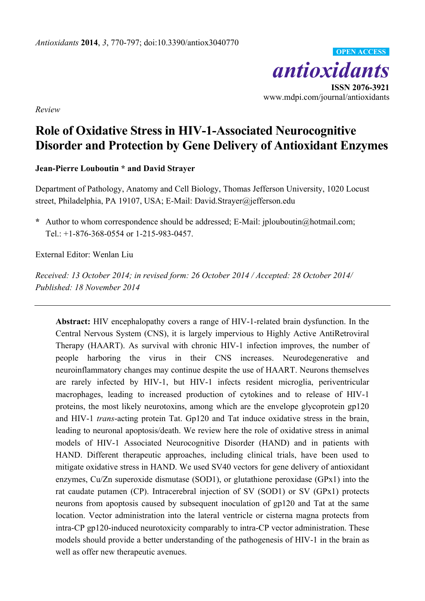

**ISSN 2076-3921** www.mdpi.com/journal/antioxidants

*Review*

# **Role of Oxidative Stress in HIV-1-Associated Neurocognitive Disorder and Protection by Gene Delivery of Antioxidant Enzymes**

# **Jean-Pierre Louboutin \* and David Strayer**

Department of Pathology, Anatomy and Cell Biology, Thomas Jefferson University, 1020 Locust street, Philadelphia, PA 19107, USA; E-Mail: David.Strayer@jefferson.edu

**\*** Author to whom correspondence should be addressed; E-Mail: jplouboutin@hotmail.com; Tel.: +1-876-368-0554 or 1-215-983-0457.

External Editor: Wenlan Liu

*Received: 13 October 2014; in revised form: 26 October 2014 / Accepted: 28 October 2014/ Published: 18 November 2014*

**Abstract:** HIV encephalopathy covers a range of HIV-1-related brain dysfunction. In the Central Nervous System (CNS), it is largely impervious to Highly Active AntiRetroviral Therapy (HAART). As survival with chronic HIV-1 infection improves, the number of people harboring the virus in their CNS increases. Neurodegenerative and neuroinflammatory changes may continue despite the use of HAART. Neurons themselves are rarely infected by HIV-1, but HIV-1 infects resident microglia, periventricular macrophages, leading to increased production of cytokines and to release of HIV-1 proteins, the most likely neurotoxins, among which are the envelope glycoprotein gp120 and HIV-1 *trans*-acting protein Tat. Gp120 and Tat induce oxidative stress in the brain, leading to neuronal apoptosis/death. We review here the role of oxidative stress in animal models of HIV-1 Associated Neurocognitive Disorder (HAND) and in patients with HAND. Different therapeutic approaches, including clinical trials, have been used to mitigate oxidative stress in HAND. We used SV40 vectors for gene delivery of antioxidant enzymes, Cu/Zn superoxide dismutase (SOD1), or glutathione peroxidase (GPx1) into the rat caudate putamen (CP). Intracerebral injection of SV (SOD1) or SV (GPx1) protects neurons from apoptosis caused by subsequent inoculation of gp120 and Tat at the same location. Vector administration into the lateral ventricle or cisterna magna protects from intra-CP gp120-induced neurotoxicity comparably to intra-CP vector administration. These models should provide a better understanding of the pathogenesis of HIV-1 in the brain as well as offer new therapeutic avenues.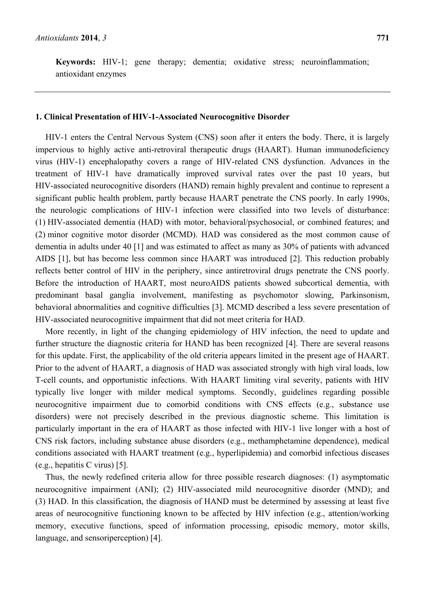**Keywords:** HIV-1; gene therapy; dementia; oxidative stress; neuroinflammation; antioxidant enzymes

#### **1. Clinical Presentation of HIV-1-Associated Neurocognitive Disorder**

HIV-1 enters the Central Nervous System (CNS) soon after it enters the body. There, it is largely impervious to highly active anti-retroviral therapeutic drugs (HAART). Human immunodeficiency virus (HIV-1) encephalopathy covers a range of HIV-related CNS dysfunction. Advances in the treatment of HIV-1 have dramatically improved survival rates over the past 10 years, but HIV-associated neurocognitive disorders (HAND) remain highly prevalent and continue to represent a significant public health problem, partly because HAART penetrate the CNS poorly. In early 1990s, the neurologic complications of HIV-1 infection were classified into two levels of disturbance: (1) HIV-associated dementia (HAD) with motor, behavioral/psychosocial, or combined features; and (2) minor cognitive motor disorder (MCMD). HAD was considered as the most common cause of dementia in adults under 40 [1] and was estimated to affect as many as 30% of patients with advanced AIDS [1], but has become less common since HAART was introduced [2]. This reduction probably reflects better control of HIV in the periphery, since antiretroviral drugs penetrate the CNS poorly. Before the introduction of HAART, most neuroAIDS patients showed subcortical dementia, with predominant basal ganglia involvement, manifesting as psychomotor slowing, Parkinsonism, behavioral abnormalities and cognitive difficulties [3]. MCMD described a less severe presentation of HIV-associated neurocognitive impairment that did not meet criteria for HAD.

More recently, in light of the changing epidemiology of HIV infection, the need to update and further structure the diagnostic criteria for HAND has been recognized [4]. There are several reasons for this update. First, the applicability of the old criteria appears limited in the present age of HAART. Prior to the advent of HAART, a diagnosis of HAD was associated strongly with high viral loads, low T-cell counts, and opportunistic infections. With HAART limiting viral severity, patients with HIV typically live longer with milder medical symptoms. Secondly, guidelines regarding possible neurocognitive impairment due to comorbid conditions with CNS effects (e.g., substance use disorders) were not precisely described in the previous diagnostic scheme. This limitation is particularly important in the era of HAART as those infected with HIV-1 live longer with a host of CNS risk factors, including substance abuse disorders (e.g., methamphetamine dependence), medical conditions associated with HAART treatment (e.g., hyperlipidemia) and comorbid infectious diseases (e.g., hepatitis C virus) [5].

Thus, the newly redefined criteria allow for three possible research diagnoses: (1) asymptomatic neurocognitive impairment (ANI); (2) HIV-associated mild neurocognitive disorder (MND); and (3) HAD. In this classification, the diagnosis of HAND must be determined by assessing at least five areas of neurocognitive functioning known to be affected by HIV infection (e.g., attention/working memory, executive functions, speed of information processing, episodic memory, motor skills, language, and sensoriperception) [4].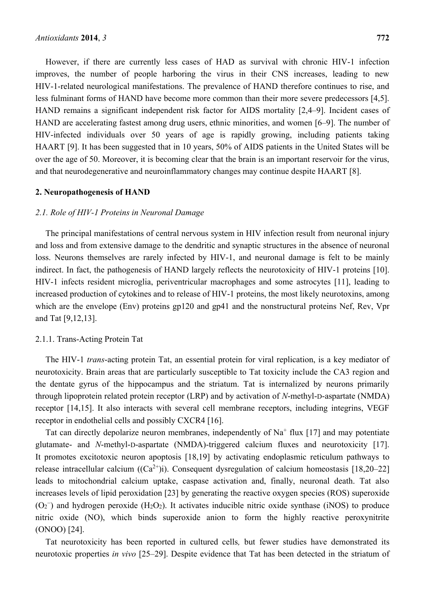However, if there are currently less cases of HAD as survival with chronic HIV-1 infection improves, the number of people harboring the virus in their CNS increases, leading to new HIV-1-related neurological manifestations. The prevalence of HAND therefore continues to rise, and less fulminant forms of HAND have become more common than their more severe predecessors [4,5]. HAND remains a significant independent risk factor for AIDS mortality [2,4–9]. Incident cases of HAND are accelerating fastest among drug users, ethnic minorities, and women [6–9]. The number of HIV-infected individuals over 50 years of age is rapidly growing, including patients taking HAART [9]. It has been suggested that in 10 years, 50% of AIDS patients in the United States will be over the age of 50. Moreover, it is becoming clear that the brain is an important reservoir for the virus, and that neurodegenerative and neuroinflammatory changes may continue despite HAART [8].

#### **2. Neuropathogenesis of HAND**

#### *2.1. Role of HIV-1 Proteins in Neuronal Damage*

The principal manifestations of central nervous system in HIV infection result from neuronal injury and loss and from extensive damage to the dendritic and synaptic structures in the absence of neuronal loss. Neurons themselves are rarely infected by HIV-1, and neuronal damage is felt to be mainly indirect. In fact, the pathogenesis of HAND largely reflects the neurotoxicity of HIV-1 proteins [10]. HIV-1 infects resident microglia, periventricular macrophages and some astrocytes [11], leading to increased production of cytokines and to release of HIV-1 proteins, the most likely neurotoxins, among which are the envelope (Env) proteins gp120 and gp41 and the nonstructural proteins Nef, Rev, Vpr and Tat [9,12,13].

#### 2.1.1. Trans-Acting Protein Tat

The HIV-1 *trans*-acting protein Tat, an essential protein for viral replication, is a key mediator of neurotoxicity. Brain areas that are particularly susceptible to Tat toxicity include the CA3 region and the dentate gyrus of the hippocampus and the striatum. Tat is internalized by neurons primarily through lipoprotein related protein receptor (LRP) and by activation of *N*-methyl-D-aspartate (NMDA) receptor [14,15]. It also interacts with several cell membrane receptors, including integrins, VEGF receptor in endothelial cells and possibly CXCR4 [16].

Tat can directly depolarize neuron membranes, independently of  $Na<sup>+</sup>$  flux [17] and may potentiate glutamate- and *N*-methyl-D-aspartate (NMDA)-triggered calcium fluxes and neurotoxicity [17]. It promotes excitotoxic neuron apoptosis [18,19] by activating endoplasmic reticulum pathways to release intracellular calcium  $((Ca^{2+})i)$ . Consequent dysregulation of calcium homeostasis [18,20–22] leads to mitochondrial calcium uptake, caspase activation and, finally, neuronal death. Tat also increases levels of lipid peroxidation [23] by generating the reactive oxygen species (ROS) superoxide (O<sup>2</sup> − ) and hydrogen peroxide (H2O2). It activates inducible nitric oxide synthase (iNOS) to produce nitric oxide (NO), which binds superoxide anion to form the highly reactive peroxynitrite (ONOO) [24].

Tat neurotoxicity has been reported in cultured cells*,* but fewer studies have demonstrated its neurotoxic properties *in vivo* [25–29]. Despite evidence that Tat has been detected in the striatum of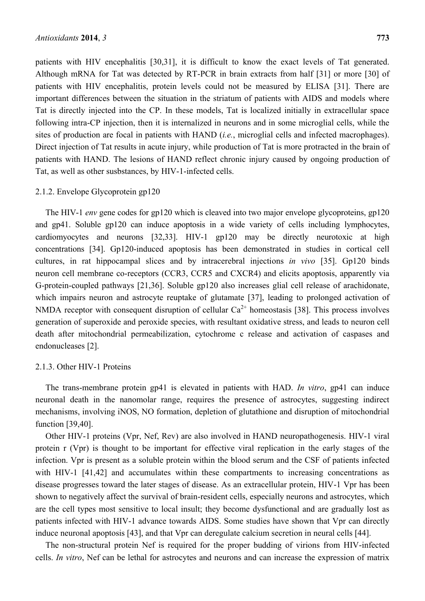patients with HIV encephalitis [30,31], it is difficult to know the exact levels of Tat generated. Although mRNA for Tat was detected by RT-PCR in brain extracts from half [31] or more [30] of patients with HIV encephalitis, protein levels could not be measured by ELISA [31]. There are important differences between the situation in the striatum of patients with AIDS and models where Tat is directly injected into the CP. In these models, Tat is localized initially in extracellular space following intra-CP injection, then it is internalized in neurons and in some microglial cells, while the sites of production are focal in patients with HAND (*i.e.*, microglial cells and infected macrophages). Direct injection of Tat results in acute injury, while production of Tat is more protracted in the brain of patients with HAND. The lesions of HAND reflect chronic injury caused by ongoing production of Tat, as well as other susbstances, by HIV-1-infected cells.

#### 2.1.2. Envelope Glycoprotein gp120

The HIV-1 *env* gene codes for gp120 which is cleaved into two major envelope glycoproteins, gp120 and gp41. Soluble gp120 can induce apoptosis in a wide variety of cells including lymphocytes, cardiomyocytes and neurons [32,33]. HIV-1 gp120 may be directly neurotoxic at high concentrations [34]. Gp120-induced apoptosis has been demonstrated in studies in cortical cell cultures, in rat hippocampal slices and by intracerebral injections *in vivo* [35]. Gp120 binds neuron cell membrane co-receptors (CCR3, CCR5 and CXCR4) and elicits apoptosis, apparently via G-protein-coupled pathways [21,36]. Soluble gp120 also increases glial cell release of arachidonate, which impairs neuron and astrocyte reuptake of glutamate [37], leading to prolonged activation of NMDA receptor with consequent disruption of cellular  $Ca^{2+}$  homeostasis [38]. This process involves generation of superoxide and peroxide species, with resultant oxidative stress, and leads to neuron cell death after mitochondrial permeabilization, cytochrome c release and activation of caspases and endonucleases [2].

#### 2.1.3. Other HIV-1 Proteins

The trans-membrane protein gp41 is elevated in patients with HAD. *In vitro*, gp41 can induce neuronal death in the nanomolar range, requires the presence of astrocytes, suggesting indirect mechanisms, involving iNOS, NO formation, depletion of glutathione and disruption of mitochondrial function [39,40].

Other HIV-1 proteins (Vpr, Nef, Rev) are also involved in HAND neuropathogenesis. HIV-1 viral protein r (Vpr) is thought to be important for effective viral replication in the early stages of the infection. Vpr is present as a soluble protein within the blood serum and the CSF of patients infected with HIV-1 [41,42] and accumulates within these compartments to increasing concentrations as disease progresses toward the later stages of disease. As an extracellular protein, HIV-1 Vpr has been shown to negatively affect the survival of brain-resident cells, especially neurons and astrocytes, which are the cell types most sensitive to local insult; they become dysfunctional and are gradually lost as patients infected with HIV-1 advance towards AIDS. Some studies have shown that Vpr can directly induce neuronal apoptosis [43], and that Vpr can deregulate calcium secretion in neural cells [44].

The non-structural protein Nef is required for the proper budding of virions from HIV-infected cells. *In vitro*, Nef can be lethal for astrocytes and neurons and can increase the expression of matrix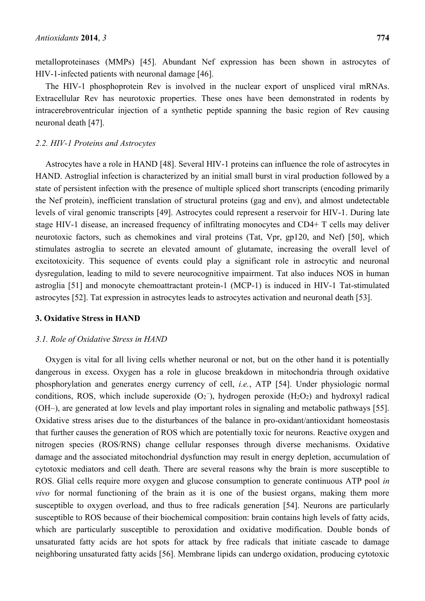metalloproteinases (MMPs) [45]. Abundant Nef expression has been shown in astrocytes of HIV-1-infected patients with neuronal damage [46].

The HIV-1 phosphoprotein Rev is involved in the nuclear export of unspliced viral mRNAs. Extracellular Rev has neurotoxic properties. These ones have been demonstrated in rodents by intracerebroventricular injection of a synthetic peptide spanning the basic region of Rev causing neuronal death [47].

#### *2.2. HIV-1 Proteins and Astrocytes*

Astrocytes have a role in HAND [48]. Several HIV-1 proteins can influence the role of astrocytes in HAND. Astroglial infection is characterized by an initial small burst in viral production followed by a state of persistent infection with the presence of multiple spliced short transcripts (encoding primarily the Nef protein), inefficient translation of structural proteins (gag and env), and almost undetectable levels of viral genomic transcripts [49]. Astrocytes could represent a reservoir for HIV-1. During late stage HIV-1 disease, an increased frequency of infiltrating monocytes and CD4+ T cells may deliver neurotoxic factors, such as chemokines and viral proteins (Tat, Vpr, gp120, and Nef) [50], which stimulates astroglia to secrete an elevated amount of glutamate, increasing the overall level of excitotoxicity. This sequence of events could play a significant role in astrocytic and neuronal dysregulation, leading to mild to severe neurocognitive impairment. Tat also induces NOS in human astroglia [51] and monocyte chemoattractant protein-1 (MCP-1) is induced in HIV-1 Tat-stimulated astrocytes [52]. Tat expression in astrocytes leads to astrocytes activation and neuronal death [53].

#### **3. Oxidative Stress in HAND**

#### *3.1. Role of Oxidative Stress in HAND*

Oxygen is vital for all living cells whether neuronal or not, but on the other hand it is potentially dangerous in excess. Oxygen has a role in glucose breakdown in mitochondria through oxidative phosphorylation and generates energy currency of cell, *i.e.*, ATP [54]. Under physiologic normal conditions, ROS, which include superoxide  $(O_2^-)$ , hydrogen peroxide  $(H_2O_2)$  and hydroxyl radical (OH–), are generated at low levels and play important roles in signaling and metabolic pathways [55]. Oxidative stress arises due to the disturbances of the balance in pro-oxidant/antioxidant homeostasis that further causes the generation of ROS which are potentially toxic for neurons. Reactive oxygen and nitrogen species (ROS/RNS) change cellular responses through diverse mechanisms. Oxidative damage and the associated mitochondrial dysfunction may result in energy depletion, accumulation of cytotoxic mediators and cell death. There are several reasons why the brain is more susceptible to ROS. Glial cells require more oxygen and glucose consumption to generate continuous ATP pool *in vivo* for normal functioning of the brain as it is one of the busiest organs, making them more susceptible to oxygen overload, and thus to free radicals generation [54]. Neurons are particularly susceptible to ROS because of their biochemical composition: brain contains high levels of fatty acids, which are particularly susceptible to peroxidation and oxidative modification. Double bonds of unsaturated fatty acids are hot spots for attack by free radicals that initiate cascade to damage neighboring unsaturated fatty acids [56]. Membrane lipids can undergo oxidation, producing cytotoxic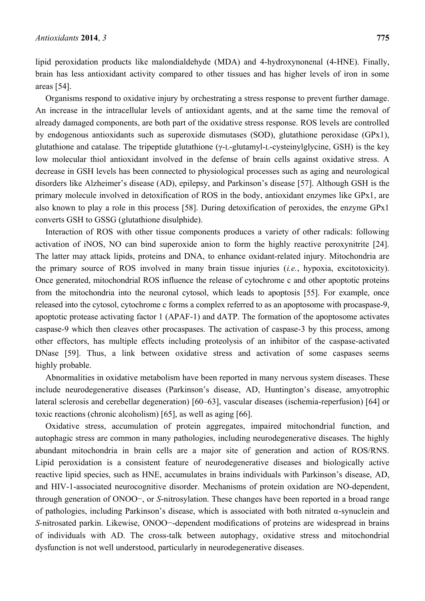lipid peroxidation products like malondialdehyde (MDA) and 4-hydroxynonenal (4-HNE). Finally, brain has less antioxidant activity compared to other tissues and has higher levels of iron in some areas [54].

Organisms respond to oxidative injury by orchestrating a stress response to prevent further damage. An increase in the intracellular levels of antioxidant agents, and at the same time the removal of already damaged components, are both part of the oxidative stress response. ROS levels are controlled by endogenous antioxidants such as superoxide dismutases (SOD), glutathione peroxidase (GPx1), glutathione and catalase. The tripeptide glutathione (γ-L-glutamyl-L-cysteinylglycine, GSH) is the key low molecular thiol antioxidant involved in the defense of brain cells against oxidative stress. A decrease in GSH levels has been connected to physiological processes such as aging and neurological disorders like Alzheimer's disease (AD), epilepsy, and Parkinson's disease [57]. Although GSH is the primary molecule involved in detoxification of ROS in the body, antioxidant enzymes like GPx1, are also known to play a role in this process [58]. During detoxification of peroxides, the enzyme GPx1 converts GSH to GSSG (glutathione disulphide).

Interaction of ROS with other tissue components produces a variety of other radicals: following activation of iNOS, NO can bind superoxide anion to form the highly reactive peroxynitrite [24]. The latter may attack lipids, proteins and DNA, to enhance oxidant-related injury. Mitochondria are the primary source of ROS involved in many brain tissue injuries (*i.e.*, hypoxia, excitotoxicity). Once generated, mitochondrial ROS influence the release of cytochrome c and other apoptotic proteins from the mitochondria into the neuronal cytosol, which leads to apoptosis [55]. For example, once released into the cytosol, cytochrome c forms a complex referred to as an apoptosome with procaspase-9, apoptotic protease activating factor 1 (APAF-1) and dATP. The formation of the apoptosome activates caspase-9 which then cleaves other procaspases. The activation of caspase-3 by this process, among other effectors, has multiple effects including proteolysis of an inhibitor of the caspase-activated DNase [59]. Thus, a link between oxidative stress and activation of some caspases seems highly probable.

Abnormalities in oxidative metabolism have been reported in many nervous system diseases. These include neurodegenerative diseases (Parkinson's disease, AD, Huntington's disease, amyotrophic lateral sclerosis and cerebellar degeneration) [60–63], vascular diseases (ischemia-reperfusion) [64] or toxic reactions (chronic alcoholism) [65], as well as aging [66].

Oxidative stress, accumulation of protein aggregates, impaired mitochondrial function, and autophagic stress are common in many pathologies, including neurodegenerative diseases. The highly abundant mitochondria in brain cells are a major site of generation and action of ROS/RNS. Lipid peroxidation is a consistent feature of neurodegenerative diseases and biologically active reactive lipid species, such as HNE, accumulates in brains individuals with Parkinson's disease, AD, and HIV-1-associated neurocognitive disorder. Mechanisms of protein oxidation are NO-dependent, through generation of ONOO−, or *S*-nitrosylation. These changes have been reported in a broad range of pathologies, including Parkinson's disease, which is associated with both nitrated α-synuclein and *S*-nitrosated parkin. Likewise, ONOO−-dependent modifications of proteins are widespread in brains of individuals with AD. The cross-talk between autophagy, oxidative stress and mitochondrial dysfunction is not well understood, particularly in neurodegenerative diseases.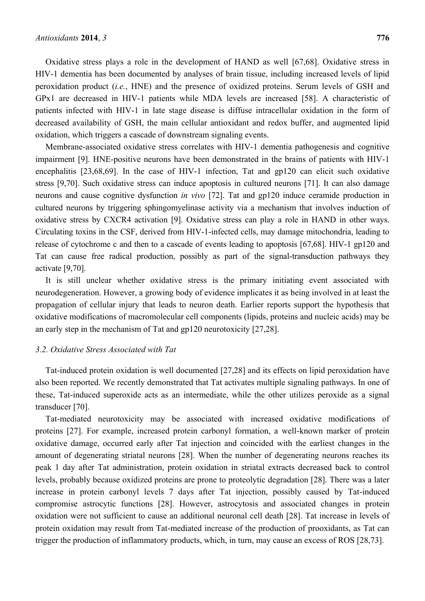Oxidative stress plays a role in the development of HAND as well [67,68]. Oxidative stress in HIV-1 dementia has been documented by analyses of brain tissue, including increased levels of lipid peroxidation product (*i.e.*, HNE) and the presence of oxidized proteins. Serum levels of GSH and GPx1 are decreased in HIV-1 patients while MDA levels are increased [58]. A characteristic of patients infected with HIV-1 in late stage disease is diffuse intracellular oxidation in the form of decreased availability of GSH, the main cellular antioxidant and redox buffer, and augmented lipid oxidation, which triggers a cascade of downstream signaling events.

Membrane-associated oxidative stress correlates with HIV-1 dementia pathogenesis and cognitive impairment [9]. HNE-positive neurons have been demonstrated in the brains of patients with HIV-1 encephalitis [23,68,69]. In the case of HIV-1 infection, Tat and gp120 can elicit such oxidative stress [9,70]. Such oxidative stress can induce apoptosis in cultured neurons [71]. It can also damage neurons and cause cognitive dysfunction *in vivo* [72]. Tat and gp120 induce ceramide production in cultured neurons by triggering sphingomyelinase activity via a mechanism that involves induction of oxidative stress by CXCR4 activation [9]. Oxidative stress can play a role in HAND in other ways. Circulating toxins in the CSF, derived from HIV-1-infected cells, may damage mitochondria, leading to release of cytochrome c and then to a cascade of events leading to apoptosis [67,68]. HIV-1 gp120 and Tat can cause free radical production, possibly as part of the signal-transduction pathways they activate [9,70].

It is still unclear whether oxidative stress is the primary initiating event associated with neurodegeneration. However, a growing body of evidence implicates it as being involved in at least the propagation of cellular injury that leads to neuron death. Earlier reports support the hypothesis that oxidative modifications of macromolecular cell components (lipids, proteins and nucleic acids) may be an early step in the mechanism of Tat and gp120 neurotoxicity [27,28].

### *3.2. Oxidative Stress Associated with Tat*

Tat-induced protein oxidation is well documented [27,28] and its effects on lipid peroxidation have also been reported. We recently demonstrated that Tat activates multiple signaling pathways. In one of these, Tat-induced superoxide acts as an intermediate, while the other utilizes peroxide as a signal transducer [70].

Tat-mediated neurotoxicity may be associated with increased oxidative modifications of proteins [27]. For example, increased protein carbonyl formation, a well-known marker of protein oxidative damage, occurred early after Tat injection and coincided with the earliest changes in the amount of degenerating striatal neurons [28]. When the number of degenerating neurons reaches its peak 1 day after Tat administration, protein oxidation in striatal extracts decreased back to control levels, probably because oxidized proteins are prone to proteolytic degradation [28]. There was a later increase in protein carbonyl levels 7 days after Tat injection, possibly caused by Tat-induced compromise astrocytic functions [28]. However, astrocytosis and associated changes in protein oxidation were not sufficient to cause an additional neuronal cell death [28]. Tat increase in levels of protein oxidation may result from Tat-mediated increase of the production of prooxidants, as Tat can trigger the production of inflammatory products, which, in turn, may cause an excess of ROS [28,73].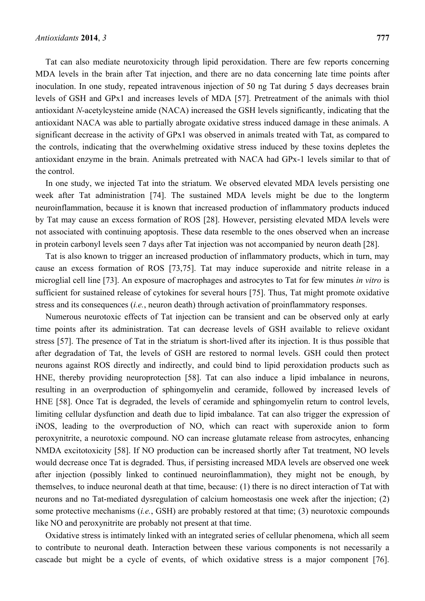Tat can also mediate neurotoxicity through lipid peroxidation. There are few reports concerning MDA levels in the brain after Tat injection, and there are no data concerning late time points after inoculation. In one study, repeated intravenous injection of 50 ng Tat during 5 days decreases brain levels of GSH and GPx1 and increases levels of MDA [57]. Pretreatment of the animals with thiol antioxidant *N*-acetylcysteine amide (NACA) increased the GSH levels significantly, indicating that the antioxidant NACA was able to partially abrogate oxidative stress induced damage in these animals. A significant decrease in the activity of GPx1 was observed in animals treated with Tat, as compared to the controls, indicating that the overwhelming oxidative stress induced by these toxins depletes the antioxidant enzyme in the brain. Animals pretreated with NACA had GPx-1 levels similar to that of the control.

In one study, we injected Tat into the striatum. We observed elevated MDA levels persisting one week after Tat administration [74]. The sustained MDA levels might be due to the longterm neuroinflammation, because it is known that increased production of inflammatory products induced by Tat may cause an excess formation of ROS [28]. However, persisting elevated MDA levels were not associated with continuing apoptosis. These data resemble to the ones observed when an increase in protein carbonyl levels seen 7 days after Tat injection was not accompanied by neuron death [28].

Tat is also known to trigger an increased production of inflammatory products, which in turn, may cause an excess formation of ROS [73,75]. Tat may induce superoxide and nitrite release in a microglial cell line [73]. An exposure of macrophages and astrocytes to Tat for few minutes *in vitro* is sufficient for sustained release of cytokines for several hours [75]. Thus, Tat might promote oxidative stress and its consequences (*i.e.*, neuron death) through activation of proinflammatory responses.

Numerous neurotoxic effects of Tat injection can be transient and can be observed only at early time points after its administration. Tat can decrease levels of GSH available to relieve oxidant stress [57]. The presence of Tat in the striatum is short-lived after its injection. It is thus possible that after degradation of Tat, the levels of GSH are restored to normal levels. GSH could then protect neurons against ROS directly and indirectly, and could bind to lipid peroxidation products such as HNE, thereby providing neuroprotection [58]. Tat can also induce a lipid imbalance in neurons, resulting in an overproduction of sphingomyelin and ceramide, followed by increased levels of HNE [58]. Once Tat is degraded, the levels of ceramide and sphingomyelin return to control levels, limiting cellular dysfunction and death due to lipid imbalance. Tat can also trigger the expression of iNOS, leading to the overproduction of NO, which can react with superoxide anion to form peroxynitrite, a neurotoxic compound. NO can increase glutamate release from astrocytes, enhancing NMDA excitotoxicity [58]. If NO production can be increased shortly after Tat treatment, NO levels would decrease once Tat is degraded. Thus, if persisting increased MDA levels are observed one week after injection (possibly linked to continued neuroinflammation), they might not be enough, by themselves, to induce neuronal death at that time, because: (1) there is no direct interaction of Tat with neurons and no Tat-mediated dysregulation of calcium homeostasis one week after the injection; (2) some protective mechanisms (*i.e.*, GSH) are probably restored at that time; (3) neurotoxic compounds like NO and peroxynitrite are probably not present at that time.

Oxidative stress is intimately linked with an integrated series of cellular phenomena, which all seem to contribute to neuronal death. Interaction between these various components is not necessarily a cascade but might be a cycle of events, of which oxidative stress is a major component [76].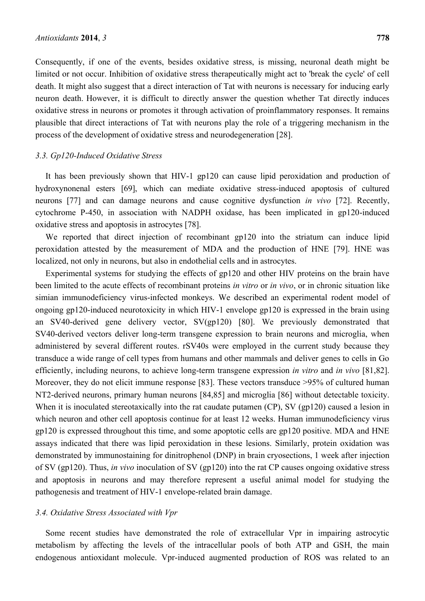Consequently, if one of the events, besides oxidative stress, is missing, neuronal death might be limited or not occur. Inhibition of oxidative stress therapeutically might act to 'break the cycle' of cell death. It might also suggest that a direct interaction of Tat with neurons is necessary for inducing early neuron death. However, it is difficult to directly answer the question whether Tat directly induces oxidative stress in neurons or promotes it through activation of proinflammatory responses. It remains plausible that direct interactions of Tat with neurons play the role of a triggering mechanism in the process of the development of oxidative stress and neurodegeneration [28].

#### *3.3. Gp120-Induced Oxidative Stress*

It has been previously shown that HIV-1 gp120 can cause lipid peroxidation and production of hydroxynonenal esters [69], which can mediate oxidative stress-induced apoptosis of cultured neurons [77] and can damage neurons and cause cognitive dysfunction *in vivo* [72]. Recently, cytochrome P-450, in association with NADPH oxidase, has been implicated in gp120-induced oxidative stress and apoptosis in astrocytes [78].

We reported that direct injection of recombinant gp120 into the striatum can induce lipid peroxidation attested by the measurement of MDA and the production of HNE [79]. HNE was localized, not only in neurons, but also in endothelial cells and in astrocytes.

Experimental systems for studying the effects of gp120 and other HIV proteins on the brain have been limited to the acute effects of recombinant proteins *in vitro* or *in vivo*, or in chronic situation like simian immunodeficiency virus-infected monkeys. We described an experimental rodent model of ongoing gp120-induced neurotoxicity in which HIV-1 envelope gp120 is expressed in the brain using an SV40-derived gene delivery vector, SV(gp120) [80]. We previously demonstrated that SV40-derived vectors deliver long-term transgene expression to brain neurons and microglia, when administered by several different routes. rSV40s were employed in the current study because they transduce a wide range of cell types from humans and other mammals and deliver genes to cells in Go efficiently, including neurons, to achieve long-term transgene expression *in vitro* and *in vivo* [81,82]. Moreover, they do not elicit immune response [83]. These vectors transduce >95% of cultured human NT2-derived neurons, primary human neurons [84,85] and microglia [86] without detectable toxicity. When it is inoculated stereotaxically into the rat caudate putamen (CP), SV (gp120) caused a lesion in which neuron and other cell apoptosis continue for at least 12 weeks. Human immunodeficiency virus gp120 is expressed throughout this time, and some apoptotic cells are gp120 positive. MDA and HNE assays indicated that there was lipid peroxidation in these lesions. Similarly, protein oxidation was demonstrated by immunostaining for dinitrophenol (DNP) in brain cryosections, 1 week after injection of SV (gp120). Thus, *in vivo* inoculation of SV (gp120) into the rat CP causes ongoing oxidative stress and apoptosis in neurons and may therefore represent a useful animal model for studying the pathogenesis and treatment of HIV-1 envelope-related brain damage.

#### *3.4. Oxidative Stress Associated with Vpr*

Some recent studies have demonstrated the role of extracellular Vpr in impairing astrocytic metabolism by affecting the levels of the intracellular pools of both ATP and GSH, the main endogenous antioxidant molecule. Vpr-induced augmented production of ROS was related to an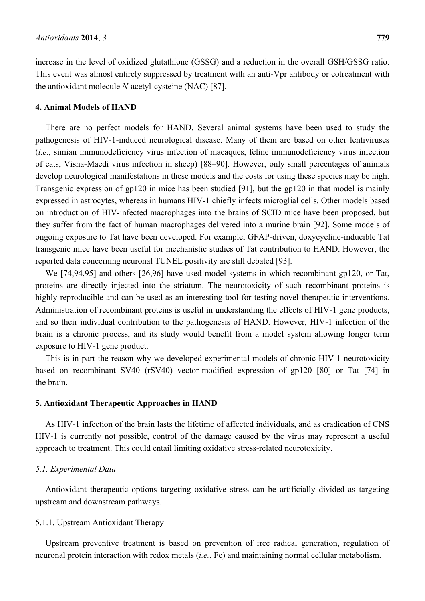increase in the level of oxidized glutathione (GSSG) and a reduction in the overall GSH/GSSG ratio. This event was almost entirely suppressed by treatment with an anti-Vpr antibody or cotreatment with the antioxidant molecule *N*-acetyl-cysteine (NAC) [87].

#### **4. Animal Models of HAND**

There are no perfect models for HAND. Several animal systems have been used to study the pathogenesis of HIV-1-induced neurological disease. Many of them are based on other lentiviruses (*i.e.*, simian immunodeficiency virus infection of macaques, feline immunodeficiency virus infection of cats, Visna-Maedi virus infection in sheep) [88–90]. However, only small percentages of animals develop neurological manifestations in these models and the costs for using these species may be high. Transgenic expression of gp120 in mice has been studied [91], but the gp120 in that model is mainly expressed in astrocytes, whereas in humans HIV-1 chiefly infects microglial cells. Other models based on introduction of HIV-infected macrophages into the brains of SCID mice have been proposed, but they suffer from the fact of human macrophages delivered into a murine brain [92]. Some models of ongoing exposure to Tat have been developed. For example, GFAP-driven, doxycycline-inducible Tat transgenic mice have been useful for mechanistic studies of Tat contribution to HAND. However, the reported data concerning neuronal TUNEL positivity are still debated [93].

We [74,94,95] and others [26,96] have used model systems in which recombinant gp120, or Tat, proteins are directly injected into the striatum. The neurotoxicity of such recombinant proteins is highly reproducible and can be used as an interesting tool for testing novel therapeutic interventions. Administration of recombinant proteins is useful in understanding the effects of HIV-1 gene products, and so their individual contribution to the pathogenesis of HAND. However, HIV-1 infection of the brain is a chronic process, and its study would benefit from a model system allowing longer term exposure to HIV-1 gene product.

This is in part the reason why we developed experimental models of chronic HIV-1 neurotoxicity based on recombinant SV40 (rSV40) vector-modified expression of gp120 [80] or Tat [74] in the brain.

#### **5. Antioxidant Therapeutic Approaches in HAND**

As HIV-1 infection of the brain lasts the lifetime of affected individuals, and as eradication of CNS HIV-1 is currently not possible, control of the damage caused by the virus may represent a useful approach to treatment. This could entail limiting oxidative stress-related neurotoxicity.

#### *5.1. Experimental Data*

Antioxidant therapeutic options targeting oxidative stress can be artificially divided as targeting upstream and downstream pathways.

#### 5.1.1. Upstream Antioxidant Therapy

Upstream preventive treatment is based on prevention of free radical generation, regulation of neuronal protein interaction with redox metals (*i.e.*, Fe) and maintaining normal cellular metabolism.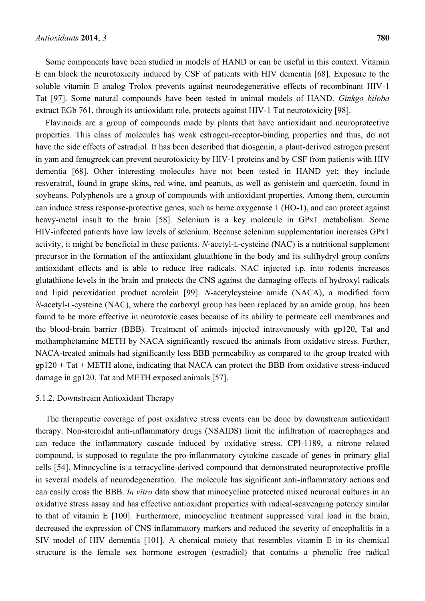Some components have been studied in models of HAND or can be useful in this context. Vitamin E can block the neurotoxicity induced by CSF of patients with HIV dementia [68]. Exposure to the soluble vitamin E analog Trolox prevents against neurodegenerative effects of recombinant HIV-1 Tat [97]. Some natural compounds have been tested in animal models of HAND. *Ginkgo biloba* extract EGb 761, through its antioxidant role, protects against HIV-1 Tat neurotoxicity [98].

Flavinoids are a group of compounds made by plants that have antioxidant and neuroprotective properties. This class of molecules has weak estrogen-receptor-binding properties and thus, do not have the side effects of estradiol. It has been described that diosgenin, a plant-derived estrogen present in yam and fenugreek can prevent neurotoxicity by HIV-1 proteins and by CSF from patients with HIV dementia [68]. Other interesting molecules have not been tested in HAND yet; they include resveratrol, found in grape skins, red wine, and peanuts, as well as genistein and quercetin, found in soybeans. Polyphenols are a group of compounds with antioxidant properties. Among them, curcumin can induce stress response-protective genes, such as heme oxygenase 1 (HO-1), and can protect against heavy-metal insult to the brain [58]. Selenium is a key molecule in GPx1 metabolism. Some HIV-infected patients have low levels of selenium. Because selenium supplementation increases GPx1 activity, it might be beneficial in these patients. *N*-acetyl-L-cysteine (NAC) is a nutritional supplement precursor in the formation of the antioxidant glutathione in the body and its sulfhydryl group confers antioxidant effects and is able to reduce free radicals. NAC injected i.p. into rodents increases glutathione levels in the brain and protects the CNS against the damaging effects of hydroxyl radicals and lipid peroxidation product acrolein [99]. *N*-acetylcysteine amide (NACA), a modified form *N*-acetyl-L-cysteine (NAC), where the carboxyl group has been replaced by an amide group, has been found to be more effective in neurotoxic cases because of its ability to permeate cell membranes and the blood-brain barrier (BBB). Treatment of animals injected intravenously with gp120, Tat and methamphetamine METH by NACA significantly rescued the animals from oxidative stress. Further, NACA-treated animals had significantly less BBB permeability as compared to the group treated with  $gp120 + Tat + METH$  alone, indicating that NACA can protect the BBB from oxidative stress-induced damage in gp120, Tat and METH exposed animals [57].

#### 5.1.2. Downstream Antioxidant Therapy

The therapeutic coverage of post oxidative stress events can be done by downstream antioxidant therapy. Non-steroidal anti-inflammatory drugs (NSAIDS) limit the infiltration of macrophages and can reduce the inflammatory cascade induced by oxidative stress. CPI-1189, a nitrone related compound, is supposed to regulate the pro-inflammatory cytokine cascade of genes in primary glial cells [54]. Minocycline is a tetracycline-derived compound that demonstrated neuroprotective profile in several models of neurodegeneration. The molecule has significant anti-inflammatory actions and can easily cross the BBB. *In vitro* data show that minocycline protected mixed neuronal cultures in an oxidative stress assay and has effective antioxidant properties with radical-scavenging potency similar to that of vitamin E [100]. Furthermore, minocycline treatment suppressed viral load in the brain, decreased the expression of CNS inflammatory markers and reduced the severity of encephalitis in a SIV model of HIV dementia [101]. A chemical moiety that resembles vitamin E in its chemical structure is the female sex hormone estrogen (estradiol) that contains a phenolic free radical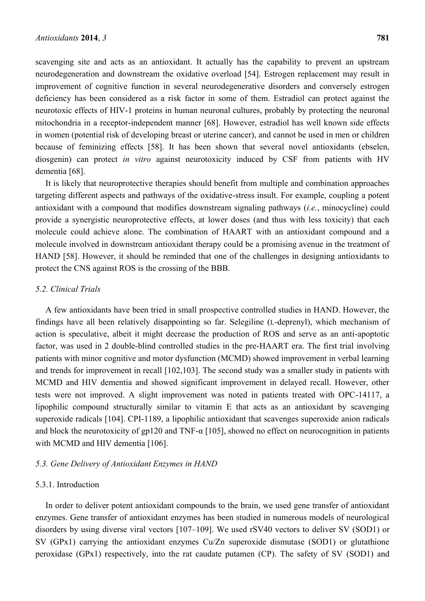scavenging site and acts as an antioxidant. It actually has the capability to prevent an upstream neurodegeneration and downstream the oxidative overload [54]. Estrogen replacement may result in improvement of cognitive function in several neurodegenerative disorders and conversely estrogen deficiency has been considered as a risk factor in some of them. Estradiol can protect against the neurotoxic effects of HIV-1 proteins in human neuronal cultures, probably by protecting the neuronal mitochondria in a receptor-independent manner [68]. However, estradiol has well known side effects in women (potential risk of developing breast or uterine cancer), and cannot be used in men or children because of feminizing effects [58]. It has been shown that several novel antioxidants (ebselen, diosgenin) can protect *in vitro* against neurotoxicity induced by CSF from patients with HV dementia [68].

It is likely that neuroprotective therapies should benefit from multiple and combination approaches targeting different aspects and pathways of the oxidative-stress insult. For example, coupling a potent antioxidant with a compound that modifies downstream signaling pathways (*i.e.*, minocycline) could provide a synergistic neuroprotective effects, at lower doses (and thus with less toxicity) that each molecule could achieve alone. The combination of HAART with an antioxidant compound and a molecule involved in downstream antioxidant therapy could be a promising avenue in the treatment of HAND [58]. However, it should be reminded that one of the challenges in designing antioxidants to protect the CNS against ROS is the crossing of the BBB.

#### *5.2. Clinical Trials*

A few antioxidants have been tried in small prospective controlled studies in HAND. However, the findings have all been relatively disappointing so far. Selegiline (L-deprenyl), which mechanism of action is speculative, albeit it might decrease the production of ROS and serve as an anti-apoptotic factor, was used in 2 double-blind controlled studies in the pre-HAART era. The first trial involving patients with minor cognitive and motor dysfunction (MCMD) showed improvement in verbal learning and trends for improvement in recall [102,103]. The second study was a smaller study in patients with MCMD and HIV dementia and showed significant improvement in delayed recall. However, other tests were not improved. A slight improvement was noted in patients treated with OPC-14117, a lipophilic compound structurally similar to vitamin E that acts as an antioxidant by scavenging superoxide radicals [104]. CPI-1189, a lipophilic antioxidant that scavenges superoxide anion radicals and block the neurotoxicity of gp120 and TNF- $\alpha$  [105], showed no effect on neurocognition in patients with MCMD and HIV dementia [106].

#### *5.3. Gene Delivery of Antioxidant Enzymes in HAND*

## 5.3.1. Introduction

In order to deliver potent antioxidant compounds to the brain, we used gene transfer of antioxidant enzymes. Gene transfer of antioxidant enzymes has been studied in numerous models of neurological disorders by using diverse viral vectors [107–109]. We used rSV40 vectors to deliver SV (SOD1) or SV (GPx1) carrying the antioxidant enzymes Cu/Zn superoxide dismutase (SOD1) or glutathione peroxidase (GPx1) respectively, into the rat caudate putamen (CP). The safety of SV (SOD1) and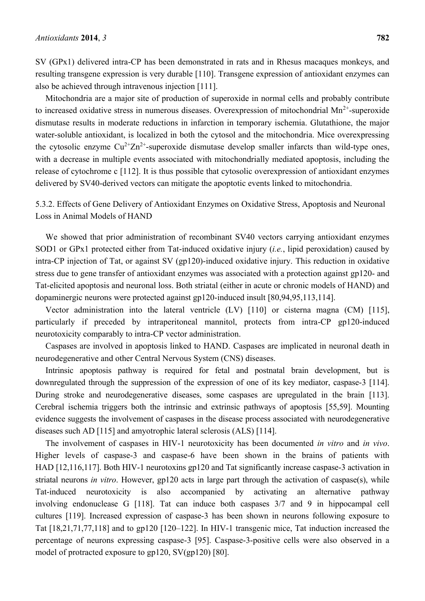SV (GPx1) delivered intra-CP has been demonstrated in rats and in Rhesus macaques monkeys, and resulting transgene expression is very durable [110]. Transgene expression of antioxidant enzymes can also be achieved through intravenous injection [111].

Mitochondria are a major site of production of superoxide in normal cells and probably contribute to increased oxidative stress in numerous diseases. Overexpression of mitochondrial  $Mn^{2+}$ -superoxide dismutase results in moderate reductions in infarction in temporary ischemia. Glutathione, the major water-soluble antioxidant, is localized in both the cytosol and the mitochondria. Mice overexpressing the cytosolic enzyme  $Cu^{2+}Zn^{2+}$ -superoxide dismutase develop smaller infarcts than wild-type ones, with a decrease in multiple events associated with mitochondrially mediated apoptosis, including the release of cytochrome c [112]. It is thus possible that cytosolic overexpression of antioxidant enzymes delivered by SV40-derived vectors can mitigate the apoptotic events linked to mitochondria.

5.3.2. Effects of Gene Delivery of Antioxidant Enzymes on Oxidative Stress, Apoptosis and Neuronal Loss in Animal Models of HAND

We showed that prior administration of recombinant SV40 vectors carrying antioxidant enzymes SOD1 or GPx1 protected either from Tat-induced oxidative injury (*i.e.*, lipid peroxidation) caused by intra-CP injection of Tat, or against SV (gp120)-induced oxidative injury. This reduction in oxidative stress due to gene transfer of antioxidant enzymes was associated with a protection against gp120- and Tat-elicited apoptosis and neuronal loss. Both striatal (either in acute or chronic models of HAND) and dopaminergic neurons were protected against gp120-induced insult [80,94,95,113,114].

Vector administration into the lateral ventricle (LV) [110] or cisterna magna (CM) [115], particularly if preceded by intraperitoneal mannitol, protects from intra-CP gp120-induced neurotoxicity comparably to intra-CP vector administration.

Caspases are involved in apoptosis linked to HAND. Caspases are implicated in neuronal death in neurodegenerative and other Central Nervous System (CNS) diseases.

Intrinsic apoptosis pathway is required for fetal and postnatal brain development, but is downregulated through the suppression of the expression of one of its key mediator, caspase-3 [114]. During stroke and neurodegenerative diseases, some caspases are upregulated in the brain [113]. Cerebral ischemia triggers both the intrinsic and extrinsic pathways of apoptosis [55,59]. Mounting evidence suggests the involvement of caspases in the disease process associated with neurodegenerative diseases such AD [115] and amyotrophic lateral sclerosis (ALS) [114].

The involvement of caspases in HIV-1 neurotoxicity has been documented *in vitro* and *in vivo*. Higher levels of caspase-3 and caspase-6 have been shown in the brains of patients with HAD [12,116,117]. Both HIV-1 neurotoxins gp120 and Tat significantly increase caspase-3 activation in striatal neurons *in vitro*. However, gp120 acts in large part through the activation of caspase(s), while Tat-induced neurotoxicity is also accompanied by activating an alternative pathway involving endonuclease G [118]. Tat can induce both caspases 3/7 and 9 in hippocampal cell cultures [119]. Increased expression of caspase-3 has been shown in neurons following exposure to Tat [18,21,71,77,118] and to gp120 [120–122]. In HIV-1 transgenic mice, Tat induction increased the percentage of neurons expressing caspase-3 [95]. Caspase-3-positive cells were also observed in a model of protracted exposure to gp120, SV(gp120) [80].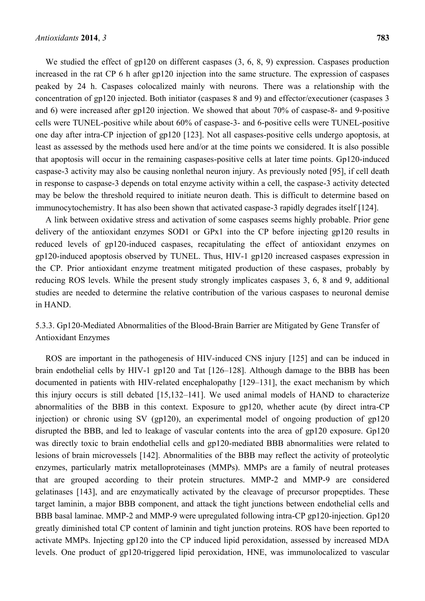We studied the effect of gp120 on different caspases  $(3, 6, 8, 9)$  expression. Caspases production increased in the rat CP 6 h after gp120 injection into the same structure. The expression of caspases peaked by 24 h. Caspases colocalized mainly with neurons. There was a relationship with the concentration of gp120 injected. Both initiator (caspases 8 and 9) and effector/executioner (caspases 3 and 6) were increased after gp120 injection. We showed that about 70% of caspase-8- and 9-positive cells were TUNEL-positive while about 60% of caspase-3- and 6-positive cells were TUNEL-positive one day after intra-CP injection of gp120 [123]. Not all caspases-positive cells undergo apoptosis, at least as assessed by the methods used here and/or at the time points we considered. It is also possible that apoptosis will occur in the remaining caspases-positive cells at later time points. Gp120-induced caspase-3 activity may also be causing nonlethal neuron injury. As previously noted [95], if cell death in response to caspase-3 depends on total enzyme activity within a cell, the caspase-3 activity detected may be below the threshold required to initiate neuron death. This is difficult to determine based on immunocytochemistry. It has also been shown that activated caspase-3 rapidly degrades itself [124].

A link between oxidative stress and activation of some caspases seems highly probable. Prior gene delivery of the antioxidant enzymes SOD1 or GPx1 into the CP before injecting gp120 results in reduced levels of gp120-induced caspases, recapitulating the effect of antioxidant enzymes on gp120-induced apoptosis observed by TUNEL. Thus, HIV-1 gp120 increased caspases expression in the CP. Prior antioxidant enzyme treatment mitigated production of these caspases, probably by reducing ROS levels. While the present study strongly implicates caspases 3, 6, 8 and 9, additional studies are needed to determine the relative contribution of the various caspases to neuronal demise in HAND.

5.3.3. Gp120-Mediated Abnormalities of the Blood-Brain Barrier are Mitigated by Gene Transfer of Antioxidant Enzymes

ROS are important in the pathogenesis of HIV-induced CNS injury [125] and can be induced in brain endothelial cells by HIV-1 gp120 and Tat [126–128]. Although damage to the BBB has been documented in patients with HIV-related encephalopathy [129–131], the exact mechanism by which this injury occurs is still debated [15,132–141]. We used animal models of HAND to characterize abnormalities of the BBB in this context. Exposure to gp120, whether acute (by direct intra-CP injection) or chronic using SV (gp120), an experimental model of ongoing production of gp120 disrupted the BBB, and led to leakage of vascular contents into the area of gp120 exposure. Gp120 was directly toxic to brain endothelial cells and gp120-mediated BBB abnormalities were related to lesions of brain microvessels [142]. Abnormalities of the BBB may reflect the activity of proteolytic enzymes, particularly matrix metalloproteinases (MMPs). MMPs are a family of neutral proteases that are grouped according to their protein structures. MMP-2 and MMP-9 are considered gelatinases [143], and are enzymatically activated by the cleavage of precursor propeptides. These target laminin, a major BBB component, and attack the tight junctions between endothelial cells and BBB basal laminae. MMP-2 and MMP-9 were upregulated following intra-CP gp120-injection. Gp120 greatly diminished total CP content of laminin and tight junction proteins. ROS have been reported to activate MMPs. Injecting gp120 into the CP induced lipid peroxidation, assessed by increased MDA levels. One product of gp120-triggered lipid peroxidation, HNE, was immunolocalized to vascular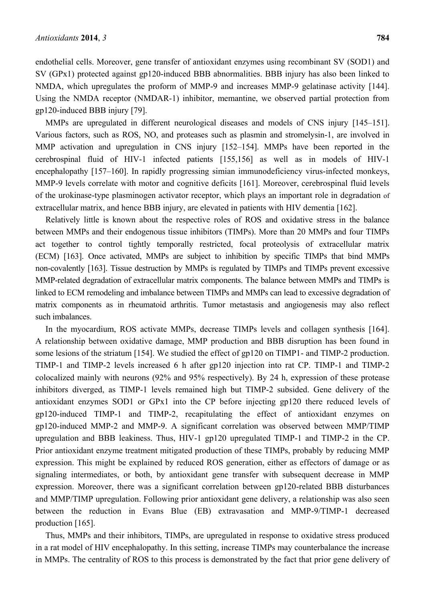endothelial cells. Moreover, gene transfer of antioxidant enzymes using recombinant SV (SOD1) and SV (GPx1) protected against gp120-induced BBB abnormalities. BBB injury has also been linked to NMDA, which upregulates the proform of MMP-9 and increases MMP-9 gelatinase activity [144]. Using the NMDA receptor (NMDAR-1) inhibitor, memantine, we observed partial protection from gp120-induced BBB injury [79].

MMPs are upregulated in different neurological diseases and models of CNS injury [145–151]. Various factors, such as ROS, NO, and proteases such as plasmin and stromelysin-1, are involved in MMP activation and upregulation in CNS injury [152–154]. MMPs have been reported in the cerebrospinal fluid of HIV-1 infected patients [155,156] as well as in models of HIV-1 encephalopathy [157–160]. In rapidly progressing simian immunodeficiency virus-infected monkeys, MMP-9 levels correlate with motor and cognitive deficits [161]. Moreover, cerebrospinal fluid levels of the urokinase-type plasminogen activator receptor, which plays an important role in degradation of extracellular matrix, and hence BBB injury, are elevated in patients with HIV dementia [162].

Relatively little is known about the respective roles of ROS and oxidative stress in the balance between MMPs and their endogenous tissue inhibitors (TIMPs). More than 20 MMPs and four TIMPs act together to control tightly temporally restricted, focal proteolysis of extracellular matrix (ECM) [163]. Once activated, MMPs are subject to inhibition by specific TIMPs that bind MMPs non-covalently [163]. Tissue destruction by MMPs is regulated by TIMPs and TIMPs prevent excessive MMP-related degradation of extracellular matrix components. The balance between MMPs and TIMPs is linked to ECM remodeling and imbalance between TIMPs and MMPs can lead to excessive degradation of matrix components as in rheumatoid arthritis. Tumor metastasis and angiogenesis may also reflect such imbalances.

In the myocardium, ROS activate MMPs, decrease TIMPs levels and collagen synthesis [164]. A relationship between oxidative damage, MMP production and BBB disruption has been found in some lesions of the striatum [154]. We studied the effect of gp120 on TIMP1- and TIMP-2 production. TIMP-1 and TIMP-2 levels increased 6 h after gp120 injection into rat CP. TIMP-1 and TIMP-2 colocalized mainly with neurons (92% and 95% respectively). By 24 h, expression of these protease inhibitors diverged, as TIMP-1 levels remained high but TIMP-2 subsided. Gene delivery of the antioxidant enzymes SOD1 or GPx1 into the CP before injecting gp120 there reduced levels of gp120-induced TIMP-1 and TIMP-2, recapitulating the effect of antioxidant enzymes on gp120-induced MMP-2 and MMP-9. A significant correlation was observed between MMP/TIMP upregulation and BBB leakiness. Thus, HIV-1 gp120 upregulated TIMP-1 and TIMP-2 in the CP. Prior antioxidant enzyme treatment mitigated production of these TIMPs, probably by reducing MMP expression. This might be explained by reduced ROS generation, either as effectors of damage or as signaling intermediates, or both, by antioxidant gene transfer with subsequent decrease in MMP expression. Moreover, there was a significant correlation between gp120-related BBB disturbances and MMP/TIMP upregulation. Following prior antioxidant gene delivery, a relationship was also seen between the reduction in Evans Blue (EB) extravasation and MMP-9/TIMP-1 decreased production [165].

Thus, MMPs and their inhibitors, TIMPs, are upregulated in response to oxidative stress produced in a rat model of HIV encephalopathy. In this setting, increase TIMPs may counterbalance the increase in MMPs. The centrality of ROS to this process is demonstrated by the fact that prior gene delivery of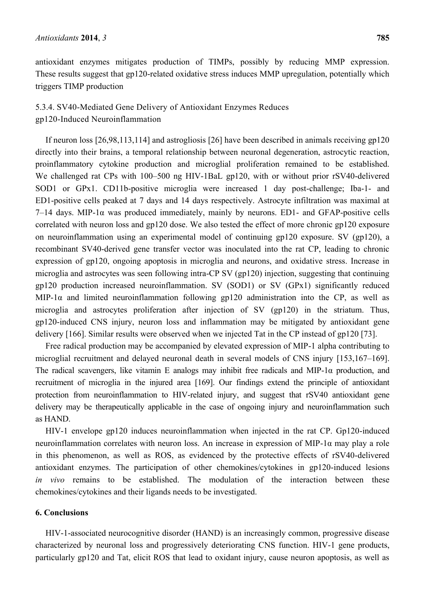antioxidant enzymes mitigates production of TIMPs, possibly by reducing MMP expression. These results suggest that gp120-related oxidative stress induces MMP upregulation, potentially which triggers TIMP production

# 5.3.4. SV40-Mediated Gene Delivery of Antioxidant Enzymes Reduces gp120-Induced Neuroinflammation

If neuron loss [26,98,113,114] and astrogliosis [26] have been described in animals receiving gp120 directly into their brains, a temporal relationship between neuronal degeneration, astrocytic reaction, proinflammatory cytokine production and microglial proliferation remained to be established. We challenged rat CPs with 100–500 ng HIV-1BaL gp120, with or without prior rSV40-delivered SOD1 or GPx1. CD11b-positive microglia were increased 1 day post-challenge; Iba-1- and ED1-positive cells peaked at 7 days and 14 days respectively. Astrocyte infiltration was maximal at  $7-14$  days. MIP-1 $\alpha$  was produced immediately, mainly by neurons. ED1- and GFAP-positive cells correlated with neuron loss and gp120 dose. We also tested the effect of more chronic gp120 exposure on neuroinflammation using an experimental model of continuing gp120 exposure. SV (gp120), a recombinant SV40-derived gene transfer vector was inoculated into the rat CP, leading to chronic expression of gp120, ongoing apoptosis in microglia and neurons, and oxidative stress. Increase in microglia and astrocytes was seen following intra-CP SV (gp120) injection, suggesting that continuing gp120 production increased neuroinflammation. SV (SOD1) or SV (GPx1) significantly reduced MIP-1 $\alpha$  and limited neuroinflammation following gp120 administration into the CP, as well as microglia and astrocytes proliferation after injection of SV (gp120) in the striatum. Thus, gp120-induced CNS injury, neuron loss and inflammation may be mitigated by antioxidant gene delivery [166]. Similar results were observed when we injected Tat in the CP instead of gp120 [73].

Free radical production may be accompanied by elevated expression of MIP-1 alpha contributing to microglial recruitment and delayed neuronal death in several models of CNS injury [153,167–169]. The radical scavengers, like vitamin E analogs may inhibit free radicals and MIP-1 $\alpha$  production, and recruitment of microglia in the injured area [169]. Our findings extend the principle of antioxidant protection from neuroinflammation to HIV-related injury, and suggest that rSV40 antioxidant gene delivery may be therapeutically applicable in the case of ongoing injury and neuroinflammation such as HAND.

HIV-1 envelope gp120 induces neuroinflammation when injected in the rat CP. Gp120-induced neuroinflammation correlates with neuron loss. An increase in expression of MIP-1α may play a role in this phenomenon, as well as ROS, as evidenced by the protective effects of rSV40-delivered antioxidant enzymes. The participation of other chemokines/cytokines in gp120-induced lesions *in vivo* remains to be established. The modulation of the interaction between these chemokines/cytokines and their ligands needs to be investigated.

## **6. Conclusions**

HIV-1-associated neurocognitive disorder (HAND) is an increasingly common, progressive disease characterized by neuronal loss and progressively deteriorating CNS function. HIV-1 gene products, particularly gp120 and Tat, elicit ROS that lead to oxidant injury, cause neuron apoptosis, as well as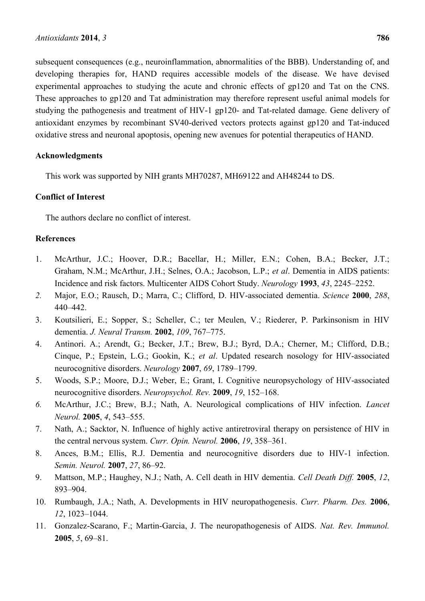subsequent consequences (e.g., neuroinflammation, abnormalities of the BBB). Understanding of, and developing therapies for, HAND requires accessible models of the disease. We have devised experimental approaches to studying the acute and chronic effects of gp120 and Tat on the CNS. These approaches to gp120 and Tat administration may therefore represent useful animal models for studying the pathogenesis and treatment of HIV-1 gp120- and Tat-related damage. Gene delivery of antioxidant enzymes by recombinant SV40-derived vectors protects against gp120 and Tat-induced oxidative stress and neuronal apoptosis, opening new avenues for potential therapeutics of HAND.

## **Acknowledgments**

This work was supported by NIH grants MH70287, MH69122 and AH48244 to DS.

## **Conflict of Interest**

The authors declare no conflict of interest.

## **References**

- 1. McArthur, J.C.; Hoover, D.R.; Bacellar, H.; Miller, E.N.; Cohen, B.A.; Becker, J.T.; Graham, N.M.; McArthur, J.H.; Selnes, O.A.; Jacobson, L.P.; *et al*. Dementia in AIDS patients: Incidence and risk factors. Multicenter AIDS Cohort Study. *Neurology* **1993**, *43*, 2245–2252.
- *2.* Major, E.O.; Rausch, D.; Marra, C.; Clifford, D. HIV-associated dementia. *Science* **2000**, *288*, 440–442.
- 3. Koutsilieri, E.; Sopper, S.; Scheller, C.; ter Meulen, V.; Riederer, P. Parkinsonism in HIV dementia. *J. Neural Transm.* **2002**, *109*, 767–775.
- 4. Antinori. A.; Arendt, G.; Becker, J.T.; Brew, B.J.; Byrd, D.A.; Cherner, M.; Clifford, D.B.; Cinque, P.; Epstein, L.G.; Gookin, K.; *et al*. Updated research nosology for HIV-associated neurocognitive disorders. *Neurology* **2007**, *69*, 1789–1799.
- 5. Woods, S.P.; Moore, D.J.; Weber, E.; Grant, I. Cognitive neuropsychology of HIV-associated neurocognitive disorders. *Neuropsychol. Rev.* **2009**, *19*, 152–168.
- *6.* McArthur, J.C.; Brew, B.J.; Nath, A. Neurological complications of HIV infection. *Lancet Neurol.* **2005**, *4*, 543–555.
- 7. Nath, A.; Sacktor, N. Influence of highly active antiretroviral therapy on persistence of HIV in the central nervous system. *Curr. Opin. Neurol.* **2006**, *19*, 358–361.
- 8. Ances, B.M.; Ellis, R.J. Dementia and neurocognitive disorders due to HIV-1 infection. *Semin. Neurol.* **2007**, *27*, 86–92.
- 9. Mattson, M.P.; Haughey, N.J.; Nath, A. Cell death in HIV dementia. *Cell Death Diff.* **2005**, *12*, 893–904.
- 10. Rumbaugh, J.A.; Nath, A. Developments in HIV neuropathogenesis. *Curr. Pharm. Des.* **2006**, *12*, 1023–1044.
- 11. Gonzalez-Scarano, F.; Martin-Garcia, J. The neuropathogenesis of AIDS. *Nat. Rev. Immunol.*  **2005**, *5*, 69–81.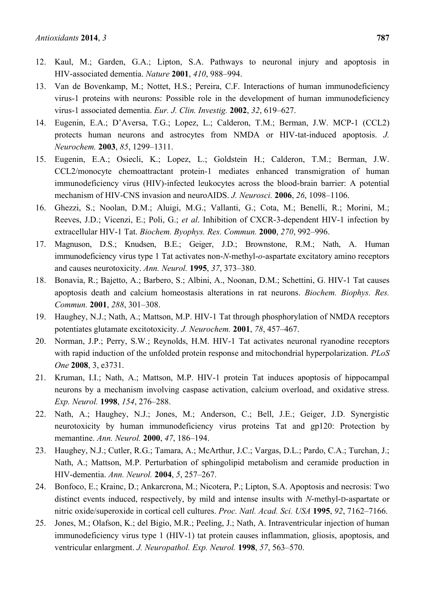- 12. Kaul, M.; Garden, G.A.; Lipton, S.A. Pathways to neuronal injury and apoptosis in HIV-associated dementia. *Nature* **2001**, *410*, 988–994.
- 13. Van de Bovenkamp, M.; Nottet, H.S.; Pereira, C.F. Interactions of human immunodeficiency virus-1 proteins with neurons: Possible role in the development of human immunodeficiency virus-1 associated dementia. *Eur. J. Clin. Investig.* **2002**, *32*, 619–627.
- 14. Eugenin, E.A.; D'Aversa, T.G.; Lopez, L.; Calderon, T.M.; Berman, J.W. MCP-1 (CCL2) protects human neurons and astrocytes from NMDA or HIV-tat-induced apoptosis. *J. Neurochem.* **2003**, *85*, 1299–1311.
- 15. Eugenin, E.A.; Osiecli, K.; Lopez, L.; Goldstein H.; Calderon, T.M.; Berman, J.W. CCL2/monocyte chemoattractant protein-1 mediates enhanced transmigration of human immunodeficiency virus (HIV)-infected leukocytes across the blood-brain barrier: A potential mechanism of HIV-CNS invasion and neuroAIDS. *J. Neurosci.* **2006**, *26*, 1098–1106.
- 16. Ghezzi, S.; Noolan, D.M.; Aluigi, M.G.; Vallanti, G.; Cota, M.; Benelli, R.; Morini, M.; Reeves, J.D.; Vicenzi, E.; Poli, G.; *et al*. Inhibition of CXCR-3-dependent HIV-1 infection by extracellular HIV-1 Tat. *Biochem. Byophys. Res. Commun.* **2000**, *270*, 992–996.
- 17. Magnuson, D.S.; Knudsen, B.E.; Geiger, J.D.; Brownstone, R.M.; Nath, A. Human immunodeficiency virus type 1 Tat activates non-*N*-methyl-*o*-aspartate excitatory amino receptors and causes neurotoxicity. *Ann. Neurol.* **1995**, *37*, 373–380.
- 18. Bonavia, R.; Bajetto, A.; Barbero, S.; Albini, A., Noonan, D.M.; Schettini, G. HIV-1 Tat causes apoptosis death and calcium homeostasis alterations in rat neurons. *Biochem. Biophys. Res. Commun.* **2001**, *288*, 301–308.
- 19. Haughey, N.J.; Nath, A.; Mattson, M.P. HIV-1 Tat through phosphorylation of NMDA receptors potentiates glutamate excitotoxicity. *J. Neurochem.* **2001**, *78*, 457–467.
- 20. Norman, J.P.; Perry, S.W.; Reynolds, H.M. HIV-1 Tat activates neuronal ryanodine receptors with rapid induction of the unfolded protein response and mitochondrial hyperpolarization. *PLoS One* **2008**, 3, e3731.
- 21. Kruman, I.I.; Nath, A.; Mattson, M.P. HIV-1 protein Tat induces apoptosis of hippocampal neurons by a mechanism involving caspase activation, calcium overload, and oxidative stress. *Exp. Neurol.* **1998**, *154*, 276–288.
- 22. Nath, A.; Haughey, N.J.; Jones, M.; Anderson, C.; Bell, J.E.; Geiger, J.D. Synergistic neurotoxicity by human immunodeficiency virus proteins Tat and gp120: Protection by memantine. *Ann. Neurol.* **2000**, *47*, 186–194.
- 23. Haughey, N.J.; Cutler, R.G.; Tamara, A.; McArthur, J.C.; Vargas, D.L.; Pardo, C.A.; Turchan, J.; Nath, A.; Mattson, M.P. Perturbation of sphingolipid metabolism and ceramide production in HIV-dementia. *Ann. Neurol.* **2004**, *5*, 257–267.
- 24. Bonfoco, E.; Krainc, D.; Ankarcrona, M.; Nicotera, P.; Lipton, S.A. Apoptosis and necrosis: Two distinct events induced, respectively, by mild and intense insults with *N*-methyl-D-aspartate or nitric oxide/superoxide in cortical cell cultures. *Proc. Natl. Acad. Sci. USA* **1995**, *92*, 7162–7166.
- 25. Jones, M.; Olafson, K.; del Bigio, M.R.; Peeling, J.; Nath, A. Intraventricular injection of human immunodeficiency virus type 1 (HIV-1) tat protein causes inflammation, gliosis, apoptosis, and ventricular enlargment. *J. Neuropathol. Exp. Neurol.* **1998**, *57*, 563–570.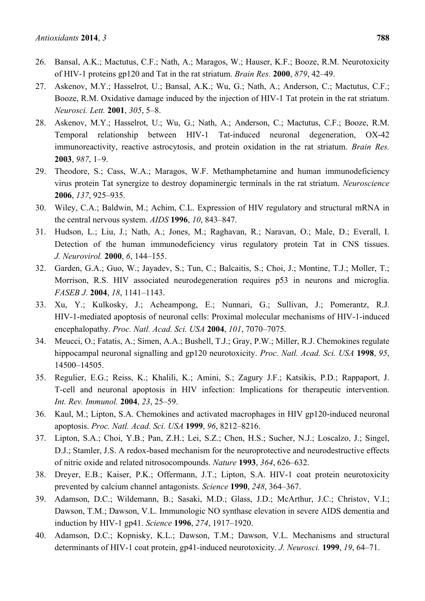- 26. Bansal, A.K.; Mactutus, C.F.; Nath, A.; Maragos, W.; Hauser, K.F.; Booze, R.M. Neurotoxicity of HIV-1 proteins gp120 and Tat in the rat striatum. *Brain Res.* **2000**, *879*, 42–49.
- 27. Askenov, M.Y.; Hasselrot, U.; Bansal, A.K.; Wu, G.; Nath, A.; Anderson, C.; Mactutus, C.F.; Booze, R.M. Oxidative damage induced by the injection of HIV-1 Tat protein in the rat striatum. *Neurosci. Lett.* **2001**, *305*, 5–8.
- 28. Askenov, M.Y.; Hasselrot, U.; Wu, G.; Nath, A.; Anderson, C.; Mactutus, C.F.; Booze, R.M. Temporal relationship between HIV-1 Tat-induced neuronal degeneration, OX-42 immunoreactivity, reactive astrocytosis, and protein oxidation in the rat striatum. *Brain Res.* **2003**, *987*, 1–9.
- 29. Theodore, S.; Cass, W.A.; Maragos, W.F. Methamphetamine and human immunodeficiency virus protein Tat synergize to destroy dopaminergic terminals in the rat striatum. *Neuroscience* **2006**, *137*, 925–935.
- 30. Wiley, C.A.; Baldwin, M.; Achim, C.L. Expression of HIV regulatory and structural mRNA in the central nervous system. *AIDS* **1996**, *10*, 843–847.
- 31. Hudson, L.; Liu, J.; Nath, A.; Jones, M.; Raghavan, R.; Naravan, O.; Male, D.; Everall, I. Detection of the human immunodeficiency virus regulatory protein Tat in CNS tissues. *J. Neurovirol.* **2000**, *6*, 144–155.
- 32. Garden, G.A.; Guo, W.; Jayadev, S.; Tun, C.; Balcaitis, S.; Choi, J.; Montine, T.J.; Moller, T.; Morrison, R.S. HIV associated neurodegeneration requires p53 in neurons and microglia. *FASEB J.* **2004**, *18*, 1141–1143.
- 33. Xu, Y.; Kulkosky, J.; Acheampong, E.; Nunnari, G.; Sullivan, J.; Pomerantz, R.J. HIV-1-mediated apoptosis of neuronal cells: Proximal molecular mechanisms of HIV-1-induced encephalopathy. *Proc. Natl. Acad. Sci. USA* **2004**, *101*, 7070–7075.
- 34. Meucci, O.; Fatatis, A.; Simen, A.A.; Bushell, T.J.; Gray, P.W.; Miller, R.J. Chemokines regulate hippocampal neuronal signalling and gp120 neurotoxicity. *Proc. Natl. Acad. Sci. USA* **1998**, *95*, 14500–14505.
- 35. Regulier, E.G.; Reiss, K.; Khalili, K.; Amini, S.; Zagury J.F.; Katsikis, P.D.; Rappaport, J. T-cell and neuronal apoptosis in HIV infection: Implications for therapeutic intervention. *Int. Rev. Immunol.* **2004**, *23*, 25–59.
- 36. Kaul, M.; Lipton, S.A. Chemokines and activated macrophages in HIV gp120-induced neuronal apoptosis. *Proc. Natl. Acad. Sci. USA* **1999**, *96*, 8212–8216.
- 37. Lipton, S.A.; Choi, Y.B.; Pan, Z.H.; Lei, S.Z.; Chen, H.S.; Sucher, N.J.; Loscalzo, J.; Singel, D.J.; Stamler, J.S. A redox-based mechanism for the neuroprotective and neurodestructive effects of nitric oxide and related nitrosocompounds. *Nature* **1993**, *364*, 626–632.
- 38. Dreyer, E.B.; Kaiser, P.K.; Offermann, J.T.; Lipton, S.A. HIV-1 coat protein neurotoxicity prevented by calcium channel antagonists. *Science* **1990**, *248*, 364–367.
- 39. Adamson, D.C.; Wildemann, B.; Sasaki, M.D.; Glass, J.D.; McArthur, J.C.; Christov, V.I.; Dawson, T.M.; Dawson, V.L. Immunologic NO synthase elevation in severe AIDS dementia and induction by HIV-1 gp41. *Science* **1996**, *274*, 1917–1920.
- 40. Adamson, D.C.; Kopnisky, K.L.; Dawson, T.M.; Dawson, V.L. Mechanisms and structural determinants of HIV-1 coat protein, gp41-induced neurotoxicity. *J. Neurosci.* **1999**, *19*, 64–71.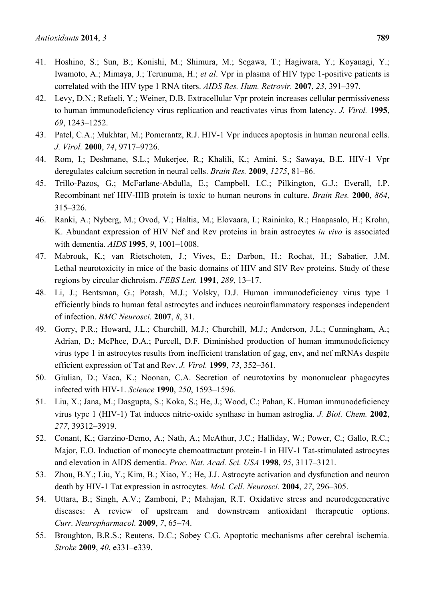- 41. Hoshino, S.; Sun, B.; Konishi, M.; Shimura, M.; Segawa, T.; Hagiwara, Y.; Koyanagi, Y.; Iwamoto, A.; Mimaya, J.; Terunuma, H.; *et al*. Vpr in plasma of HIV type 1-positive patients is correlated with the HIV type 1 RNA titers. *AIDS Res. Hum. Retrovir.* **2007**, *23*, 391–397.
- 42. Levy, D.N.; Refaeli, Y.; Weiner, D.B. Extracellular Vpr protein increases cellular permissiveness to human immunodeficiency virus replication and reactivates virus from latency. *J. Virol.* **1995**, *69*, 1243–1252.
- 43. Patel, C.A.; Mukhtar, M.; Pomerantz, R.J. HIV-1 Vpr induces apoptosis in human neuronal cells. *J. Virol.* **2000**, *74*, 9717–9726.
- 44. Rom, I.; Deshmane, S.L.; Mukerjee, R.; Khalili, K.; Amini, S.; Sawaya, B.E. HIV-1 Vpr deregulates calcium secretion in neural cells. *Brain Res.* **2009**, *1275*, 81–86.
- 45. Trillo-Pazos, G.; McFarlane-Abdulla, E.; Campbell, I.C.; Pilkington, G.J.; Everall, I.P. Recombinant nef HIV-IIIB protein is toxic to human neurons in culture. *Brain Res.* **2000**, *864*, 315–326.
- 46. Ranki, A.; Nyberg, M.; Ovod, V.; Haltia, M.; Elovaara, I.; Raininko, R.; Haapasalo, H.; Krohn, K. Abundant expression of HIV Nef and Rev proteins in brain astrocytes *in vivo* is associated with dementia. *AIDS* **1995**, *9*, 1001–1008.
- 47. Mabrouk, K.; van Rietschoten, J.; Vives, E.; Darbon, H.; Rochat, H.; Sabatier, J.M. Lethal neurotoxicity in mice of the basic domains of HIV and SIV Rev proteins. Study of these regions by circular dichroism. *FEBS Lett.* **1991**, *289*, 13–17.
- 48. Li, J.; Bentsman, G.; Potash, M.J.; Volsky, D.J. Human immunodeficiency virus type 1 efficiently binds to human fetal astrocytes and induces neuroinflammatory responses independent of infection. *BMC Neurosci.* **2007**, *8*, 31.
- 49. Gorry, P.R.; Howard, J.L.; Churchill, M.J.; Churchill, M.J.; Anderson, J.L.; Cunningham, A.; Adrian, D.; McPhee, D.A.; Purcell, D.F. Diminished production of human immunodeficiency virus type 1 in astrocytes results from inefficient translation of gag, env, and nef mRNAs despite efficient expression of Tat and Rev. *J. Virol.* **1999**, *73*, 352–361.
- 50. Giulian, D.; Vaca, K.; Noonan, C.A. Secretion of neurotoxins by mononuclear phagocytes infected with HIV-1. *Science* **1990**, *250*, 1593–1596.
- 51. Liu, X.; Jana, M.; Dasgupta, S.; Koka, S.; He, J.; Wood, C.; Pahan, K. Human immunodeficiency virus type 1 (HIV-1) Tat induces nitric-oxide synthase in human astroglia. *J. Biol. Chem.* **2002**, *277*, 39312–3919.
- 52. Conant, K.; Garzino-Demo, A.; Nath, A.; McAthur, J.C.; Halliday, W.; Power, C.; Gallo, R.C.; Major, E.O. Induction of monocyte chemoattractant protein-1 in HIV-1 Tat-stimulated astrocytes and elevation in AIDS dementia. *Proc. Nat. Acad. Sci. USA* **1998**, *95*, 3117–3121.
- 53. Zhou, B.Y.; Liu, Y.; Kim, B.; Xiao, Y.; He, J.J. Astrocyte activation and dysfunction and neuron death by HIV-1 Tat expression in astrocytes. *Mol. Cell. Neurosci.* **2004**, *27*, 296–305.
- 54. Uttara, B.; Singh, A.V.; Zamboni, P.; Mahajan, R.T. Oxidative stress and neurodegenerative diseases: A review of upstream and downstream antioxidant therapeutic options. *Curr. Neuropharmacol.* **2009**, *7*, 65–74.
- 55. Broughton, B.R.S.; Reutens, D.C.; Sobey C.G. Apoptotic mechanisms after cerebral ischemia*. Stroke* **2009**, *40*, e331–e339.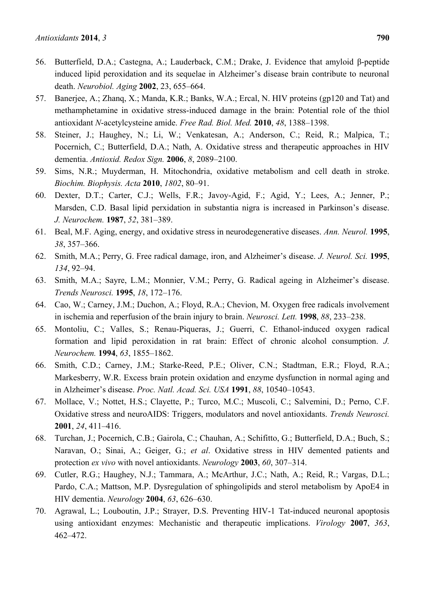- 56. Butterfield, D.A.; Castegna, A.; Lauderback, C.M.; Drake, J. Evidence that amyloid β-peptide induced lipid peroxidation and its sequelae in Alzheimer's disease brain contribute to neuronal death. *Neurobiol. Aging* **2002**, 23, 655–664.
- 57. Banerjee, A.; Zhanq, X.; Manda, K.R.; Banks, W.A.; Ercal, N. HIV proteins (gp120 and Tat) and methamphetamine in oxidative stress-induced damage in the brain: Potential role of the thiol antioxidant *N*-acetylcysteine amide. *Free Rad. Biol. Med.* **2010**, *48*, 1388–1398.
- 58. Steiner, J.; Haughey, N.; Li, W.; Venkatesan, A.; Anderson, C.; Reid, R.; Malpica, T.; Pocernich, C.; Butterfield, D.A.; Nath, A. Oxidative stress and therapeutic approaches in HIV dementia. *Antioxid. Redox Sign.* **2006**, *8*, 2089–2100.
- 59. Sims, N.R.; Muyderman, H. Mitochondria, oxidative metabolism and cell death in stroke. *Biochim. Biophysis. Acta* **2010**, *1802*, 80–91.
- 60. Dexter, D.T.; Carter, C.J.; Wells, F.R.; Javoy-Agid, F.; Agid, Y.; Lees, A.; Jenner, P.; Marsden, C.D. Basal lipid perxidation in substantia nigra is increased in Parkinson's disease. *J. Neurochem.* **1987**, *52*, 381–389.
- 61. Beal, M.F. Aging, energy, and oxidative stress in neurodegenerative diseases. *Ann. Neurol.* **1995**, *38*, 357–366.
- 62. Smith, M.A.; Perry, G. Free radical damage, iron, and Alzheimer's disease. *J. Neurol. Sci.* **1995**, *134*, 92–94.
- 63. Smith, M.A.; Sayre, L.M.; Monnier, V.M.; Perry, G. Radical ageing in Alzheimer's disease. *Trends Neurosci.* **1995**, *18*, 172–176.
- 64. Cao, W.; Carney, J.M.; Duchon, A.; Floyd, R.A.; Chevion, M. Oxygen free radicals involvement in ischemia and reperfusion of the brain injury to brain. *Neurosci. Lett.* **1998**, *88*, 233–238.
- 65. Montoliu, C.; Valles, S.; Renau-Piqueras, J.; Guerri, C. Ethanol-induced oxygen radical formation and lipid peroxidation in rat brain: Effect of chronic alcohol consumption. *J. Neurochem.* **1994**, *63*, 1855–1862.
- 66. Smith, C.D.; Carney, J.M.; Starke-Reed, P.E.; Oliver, C.N.; Stadtman, E.R.; Floyd, R.A.; Markesberry, W.R. Excess brain protein oxidation and enzyme dysfunction in normal aging and in Alzheimer's disease. *Proc. Natl. Acad. Sci. USA* **1991**, *88*, 10540–10543.
- 67. Mollace, V.; Nottet, H.S.; Clayette, P.; Turco, M.C.; Muscoli, C.; Salvemini, D.; Perno, C.F. Oxidative stress and neuroAIDS: Triggers, modulators and novel antioxidants. *Trends Neurosci.*  **2001**, *24*, 411–416.
- 68. Turchan, J.; Pocernich, C.B.; Gairola, C.; Chauhan, A.; Schifitto, G.; Butterfield, D.A.; Buch, S.; Naravan, O.; Sinai, A.; Geiger, G.; *et al*. Oxidative stress in HIV demented patients and protection *ex vivo* with novel antioxidants. *Neurology* **2003**, *60*, 307–314.
- 69. Cutler, R.G.; Haughey, N.J.; Tammara, A.; McArthur, J.C.; Nath, A.; Reid, R.; Vargas, D.L.; Pardo, C.A.; Mattson, M.P. Dysregulation of sphingolipids and sterol metabolism by ApoE4 in HIV dementia. *Neurology* **2004**, *63*, 626–630.
- 70. Agrawal, L.; Louboutin, J.P.; Strayer, D.S. Preventing HIV-1 Tat-induced neuronal apoptosis using antioxidant enzymes: Mechanistic and therapeutic implications. *Virology* **2007**, *363*, 462–472.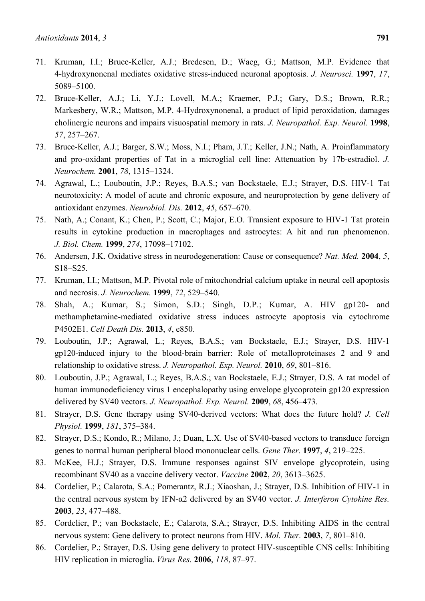- 71. Kruman, I.I.; Bruce-Keller, A.J.; Bredesen, D.; Waeg, G.; Mattson, M.P. Evidence that 4-hydroxynonenal mediates oxidative stress-induced neuronal apoptosis. *J. Neurosci.* **1997**, *17*, 5089–5100.
- 72. Bruce-Keller, A.J.; Li, Y.J.; Lovell, M.A.; Kraemer, P.J.; Gary, D.S.; Brown, R.R.; Markesbery, W.R.; Mattson, M.P. 4-Hydroxynonenal, a product of lipid peroxidation, damages cholinergic neurons and impairs visuospatial memory in rats. *J. Neuropathol. Exp. Neurol.* **1998**, *57*, 257–267.
- 73. Bruce-Keller, A.J.; Barger, S.W.; Moss, N.I.; Pham, J.T.; Keller, J.N.; Nath, A. Proinflammatory and pro-oxidant properties of Tat in a microglial cell line: Attenuation by 17b-estradiol. *J. Neurochem.* **2001**, *78*, 1315–1324.
- 74. Agrawal, L.; Louboutin, J.P.; Reyes, B.A.S.; van Bockstaele, E.J.; Strayer, D.S. HIV-1 Tat neurotoxicity: A model of acute and chronic exposure, and neuroprotection by gene delivery of antioxidant enzymes. *Neurobiol. Dis.* **2012**, *45*, 657–670.
- 75. Nath, A.; Conant, K.; Chen, P.; Scott, C.; Major, E.O. Transient exposure to HIV-1 Tat protein results in cytokine production in macrophages and astrocytes: A hit and run phenomenon. *J. Biol. Chem.* **1999**, *274*, 17098–17102.
- 76. Andersen, J.K. Oxidative stress in neurodegeneration: Cause or consequence? *Nat. Med.* **2004**, *5*, S18–S25.
- 77. Kruman, I.I.; Mattson, M.P. Pivotal role of mitochondrial calcium uptake in neural cell apoptosis and necrosis. *J. Neurochem.* **1999**, *72*, 529–540.
- 78. Shah, A.; Kumar, S.; Simon, S.D.; Singh, D.P.; Kumar, A. HIV gp120- and methamphetamine-mediated oxidative stress induces astrocyte apoptosis via cytochrome P4502E1. *Cell Death Dis.* **2013**, *4*, e850.
- 79. Louboutin, J.P.; Agrawal, L.; Reyes, B.A.S.; van Bockstaele, E.J.; Strayer, D.S. HIV-1 gp120-induced injury to the blood-brain barrier: Role of metalloproteinases 2 and 9 and relationship to oxidative stress. *J. Neuropathol. Exp. Neurol.* **2010**, *69*, 801–816.
- 80. Louboutin, J.P.; Agrawal, L.; Reyes, B.A.S.; van Bockstaele, E.J.; Strayer, D.S. A rat model of human immunodeficiency virus 1 encephalopathy using envelope glycoprotein gp120 expression delivered by SV40 vectors. *J. Neuropathol. Exp. Neurol.* **2009**, *68*, 456–473.
- 81. Strayer, D.S. Gene therapy using SV40-derived vectors: What does the future hold? *J. Cell Physiol.* **1999**, *181*, 375–384.
- 82. Strayer, D.S.; Kondo, R.; Milano, J.; Duan, L.X. Use of SV40-based vectors to transduce foreign genes to normal human peripheral blood mononuclear cells. *Gene Ther.* **1997**, *4*, 219–225.
- 83. McKee, H.J.; Strayer, D.S. Immune responses against SIV envelope glycoprotein, using recombinant SV40 as a vaccine delivery vector. *Vaccine* **2002**, *20*, 3613–3625.
- 84. Cordelier, P.; Calarota, S.A.; Pomerantz, R.J.; Xiaoshan, J.; Strayer, D.S. Inhibition of HIV-1 in the central nervous system by IFN-α2 delivered by an SV40 vector. *J. Interferon Cytokine Res.*  **2003**, *23*, 477–488.
- 85. Cordelier, P.; van Bockstaele, E.; Calarota, S.A.; Strayer, D.S. Inhibiting AIDS in the central nervous system: Gene delivery to protect neurons from HIV. *Mol. Ther.* **2003**, *7*, 801–810.
- 86. Cordelier, P.; Strayer, D.S. Using gene delivery to protect HIV-susceptible CNS cells: Inhibiting HIV replication in microglia. *Virus Res.* **2006**, *118*, 87–97.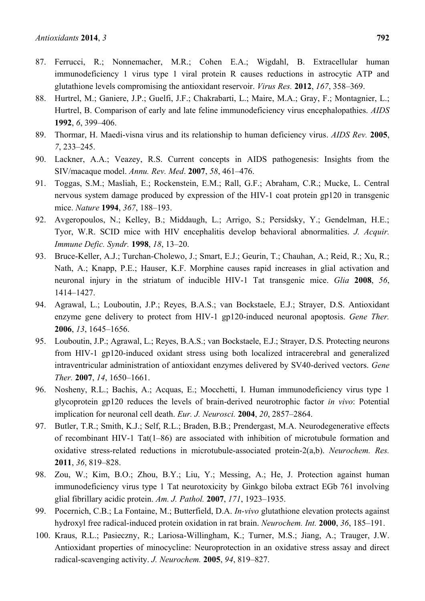- 87. Ferrucci, R.; Nonnemacher, M.R.; Cohen E.A.; Wigdahl, B. Extracellular human immunodeficiency 1 virus type 1 viral protein R causes reductions in astrocytic ATP and glutathione levels compromising the antioxidant reservoir. *Virus Res.* **2012**, *167*, 358–369.
- 88. Hurtrel, M.; Ganiere, J.P.; Guelfi, J.F.; Chakrabarti, L.; Maire, M.A.; Gray, F.; Montagnier, L.; Hurtrel, B. Comparison of early and late feline immunodeficiency virus encephalopathies. *AIDS* **1992**, *6*, 399–406.
- 89. Thormar, H. Maedi-visna virus and its relationship to human deficiency virus. *AIDS Rev.* **2005**, *7*, 233–245.
- 90. Lackner, A.A.; Veazey, R.S. Current concepts in AIDS pathogenesis: Insights from the SIV/macaque model. *Annu. Rev. Med*. **2007**, *58*, 461–476.
- 91. Toggas, S.M.; Masliah, E.; Rockenstein, E.M.; Rall, G.F.; Abraham, C.R.; Mucke, L. Central nervous system damage produced by expression of the HIV-1 coat protein gp120 in transgenic mice. *Nature* **1994**, *367*, 188–193.
- 92. Avgeropoulos, N.; Kelley, B.; Middaugh, L.; Arrigo, S.; Persidsky, Y.; Gendelman, H.E.; Tyor, W.R. SCID mice with HIV encephalitis develop behavioral abnormalities. *J. Acquir. Immune Defic. Syndr.* **1998**, *18*, 13–20.
- 93. Bruce-Keller, A.J.; Turchan-Cholewo, J.; Smart, E.J.; Geurin, T.; Chauhan, A.; Reid, R.; Xu, R.; Nath, A.; Knapp, P.E.; Hauser, K.F. Morphine causes rapid increases in glial activation and neuronal injury in the striatum of inducible HIV-1 Tat transgenic mice. *Glia* **2008**, *56*, 1414–1427.
- 94. Agrawal, L.; Louboutin, J.P.; Reyes, B.A.S.; van Bockstaele, E.J.; Strayer, D.S. Antioxidant enzyme gene delivery to protect from HIV-1 gp120-induced neuronal apoptosis. *Gene Ther.* **2006**, *13*, 1645–1656.
- 95. Louboutin, J.P.; Agrawal, L.; Reyes, B.A.S.; van Bockstaele, E.J.; Strayer, D.S. Protecting neurons from HIV-1 gp120-induced oxidant stress using both localized intracerebral and generalized intraventricular administration of antioxidant enzymes delivered by SV40-derived vectors. *Gene Ther.* **2007**, *14*, 1650–1661.
- 96. Nosheny, R.L.; Bachis, A.; Acquas, E.; Mocchetti, I. Human immunodeficiency virus type 1 glycoprotein gp120 reduces the levels of brain-derived neurotrophic factor *in vivo*: Potential implication for neuronal cell death. *Eur. J. Neurosci.* **2004**, *20*, 2857–2864.
- 97. Butler, T.R.; Smith, K.J.; Self, R.L.; Braden, B.B.; Prendergast, M.A. Neurodegenerative effects of recombinant HIV-1 Tat(1–86) are associated with inhibition of microtubule formation and oxidative stress-related reductions in microtubule-associated protein-2(a,b). *Neurochem. Res.* **2011**, *36*, 819–828.
- 98. Zou, W.; Kim, B.O.; Zhou, B.Y.; Liu, Y.; Messing, A.; He, J. Protection against human immunodeficiency virus type 1 Tat neurotoxicity by Ginkgo biloba extract EGb 761 involving glial fibrillary acidic protein. *Am. J. Pathol.* **2007**, *171*, 1923–1935.
- 99. Pocernich, C.B.; La Fontaine, M.; Butterfield, D.A. *In-vivo* glutathione elevation protects against hydroxyl free radical-induced protein oxidation in rat brain. *Neurochem. Int.* **2000**, *36*, 185–191.
- 100. Kraus, R.L.; Pasieczny, R.; Lariosa-Willingham, K.; Turner, M.S.; Jiang, A.; Trauger, J.W. Antioxidant properties of minocycline: Neuroprotection in an oxidative stress assay and direct radical-scavenging activity. *J. Neurochem.* **2005**, *94*, 819–827.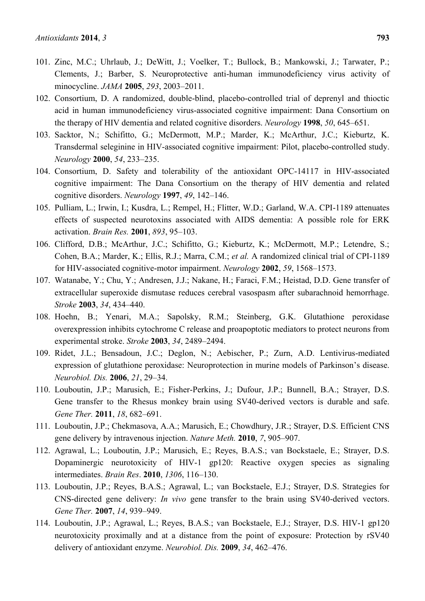- 101. Zinc, M.C.; Uhrlaub, J.; DeWitt, J.; Voelker, T.; Bullock, B.; Mankowski, J.; Tarwater, P.; Clements, J.; Barber, S. Neuroprotective anti-human immunodeficiency virus activity of minocycline. *JAMA* **2005**, *293*, 2003–2011.
- 102. Consortium, D. A randomized, double-blind, placebo-controlled trial of deprenyl and thioctic acid in human immunodeficiency virus-associated cognitive impairment: Dana Consortium on the therapy of HIV dementia and related cognitive disorders. *Neurology* **1998**, *50*, 645–651.
- 103. Sacktor, N.; Schifitto, G.; McDermott, M.P.; Marder, K.; McArthur, J.C.; Kieburtz, K. Transdermal seleginine in HIV-associated cognitive impairment: Pilot, placebo-controlled study. *Neurology* **2000**, *54*, 233–235.
- 104. Consortium, D. Safety and tolerability of the antioxidant OPC-14117 in HIV-associated cognitive impairment: The Dana Consortium on the therapy of HIV dementia and related cognitive disorders. *Neurology* **1997**, *49*, 142–146.
- 105. Pulliam, L.; Irwin, I.; Kusdra, L.; Rempel, H.; Flitter, W.D.; Garland, W.A. CPI-1189 attenuates effects of suspected neurotoxins associated with AIDS dementia: A possible role for ERK activation. *Brain Res.* **2001**, *893*, 95–103.
- 106. Clifford, D.B.; McArthur, J.C.; Schifitto, G.; Kieburtz, K.; McDermott, M.P.; Letendre, S.; Cohen, B.A.; Marder, K.; Ellis, R.J.; Marra, C.M.; *et al.* A randomized clinical trial of CPI-1189 for HIV-associated cognitive-motor impairment. *Neurology* **2002**, *59*, 1568–1573.
- 107. Watanabe, Y.; Chu, Y.; Andresen, J.J.; Nakane, H.; Faraci, F.M.; Heistad, D.D. Gene transfer of extracellular superoxide dismutase reduces cerebral vasospasm after subarachnoid hemorrhage. *Stroke* **2003**, *34*, 434–440.
- 108. Hoehn, B.; Yenari, M.A.; Sapolsky, R.M.; Steinberg, G.K. Glutathione peroxidase overexpression inhibits cytochrome C release and proapoptotic mediators to protect neurons from experimental stroke. *Stroke* **2003**, *34*, 2489–2494.
- 109. Ridet, J.L.; Bensadoun, J.C.; Deglon, N.; Aebischer, P.; Zurn, A.D. Lentivirus-mediated expression of glutathione peroxidase: Neuroprotection in murine models of Parkinson's disease. *Neurobiol. Dis.* **2006**, *21*, 29–34.
- 110. Louboutin, J.P.; Marusich, E.; Fisher-Perkins, J.; Dufour, J.P.; Bunnell, B.A.; Strayer, D.S. Gene transfer to the Rhesus monkey brain using SV40-derived vectors is durable and safe. *Gene Ther.* **2011**, *18*, 682–691.
- 111. Louboutin, J.P.; Chekmasova, A.A.; Marusich, E.; Chowdhury, J.R.; Strayer, D.S. Efficient CNS gene delivery by intravenous injection. *Nature Meth.* **2010**, *7*, 905–907.
- 112. Agrawal, L.; Louboutin, J.P.; Marusich, E.; Reyes, B.A.S.; van Bockstaele, E.; Strayer, D.S. Dopaminergic neurotoxicity of HIV-1 gp120: Reactive oxygen species as signaling intermediates. *Brain Res*. **2010**, *1306*, 116–130.
- 113. Louboutin, J.P.; Reyes, B.A.S.; Agrawal, L.; van Bockstaele, E.J.; Strayer, D.S. Strategies for CNS-directed gene delivery: *In vivo* gene transfer to the brain using SV40-derived vectors. *Gene Ther.* **2007**, *14*, 939–949.
- 114. Louboutin, J.P.; Agrawal, L.; Reyes, B.A.S.; van Bockstaele, E.J.; Strayer, D.S. HIV-1 gp120 neurotoxicity proximally and at a distance from the point of exposure: Protection by rSV40 delivery of antioxidant enzyme. *Neurobiol. Dis.* **2009**, *34*, 462–476.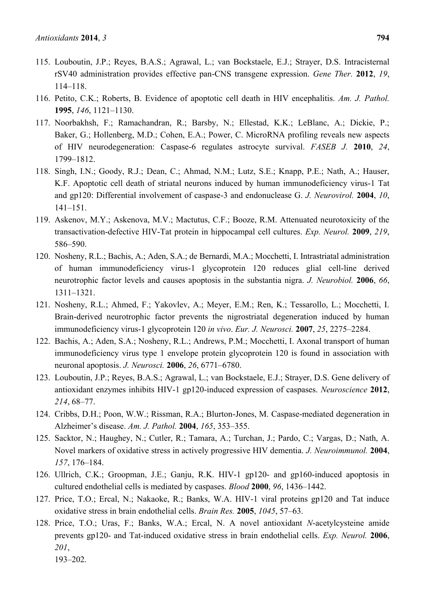- 115. Louboutin, J.P.; Reyes, B.A.S.; Agrawal, L.; van Bockstaele, E.J.; Strayer, D.S. Intracisternal rSV40 administration provides effective pan-CNS transgene expression. *Gene Ther.* **2012**, *19*, 114–118.
- 116. Petito, C.K.; Roberts, B. Evidence of apoptotic cell death in HIV encephalitis. *Am. J. Pathol.* **1995**, *146*, 1121–1130.
- 117. Noorbakhsh, F.; Ramachandran, R.; Barsby, N.; Ellestad, K.K.; LeBlanc, A.; Dickie, P.; Baker, G.; Hollenberg, M.D.; Cohen, E.A.; Power, C. MicroRNA profiling reveals new aspects of HIV neurodegeneration: Caspase-6 regulates astrocyte survival. *FASEB J.* **2010**, *24*, 1799–1812.
- 118. Singh, I.N.; Goody, R.J.; Dean, C.; Ahmad, N.M.; Lutz, S.E.; Knapp, P.E.; Nath, A.; Hauser, K.F. Apoptotic cell death of striatal neurons induced by human immunodeficiency virus-1 Tat and gp120: Differential involvement of caspase-3 and endonuclease G. *J. Neurovirol.* **2004**, *10*, 141–151.
- 119. Askenov, M.Y.; Askenova, M.V.; Mactutus, C.F.; Booze, R.M. Attenuated neurotoxicity of the transactivation-defective HIV-Tat protein in hippocampal cell cultures. *Exp. Neurol.* **2009**, *219*, 586–590.
- 120. Nosheny, R.L.; Bachis, A.; Aden, S.A.; de Bernardi, M.A.; Mocchetti, I. Intrastriatal administration of human immunodeficiency virus-1 glycoprotein 120 reduces glial cell-line derived neurotrophic factor levels and causes apoptosis in the substantia nigra. *J. Neurobiol.* **2006**, *66*, 1311–1321.
- 121. Nosheny, R.L.; Ahmed, F.; Yakovlev, A.; Meyer, E.M.; Ren, K.; Tessarollo, L.; Mocchetti, I. Brain-derived neurotrophic factor prevents the nigrostriatal degeneration induced by human immunodeficiency virus-1 glycoprotein 120 *in vivo*. *Eur. J. Neurosci.* **2007**, *25*, 2275–2284.
- 122. Bachis, A.; Aden, S.A.; Nosheny, R.L.; Andrews, P.M.; Mocchetti, I. Axonal transport of human immunodeficiency virus type 1 envelope protein glycoprotein 120 is found in association with neuronal apoptosis. *J. Neurosci.* **2006**, *26*, 6771–6780.
- 123. Louboutin, J.P.; Reyes, B.A.S.; Agrawal, L.; van Bockstaele, E.J.; Strayer, D.S. Gene delivery of antioxidant enzymes inhibits HIV-1 gp120-induced expression of caspases. *Neuroscience* **2012**, *214*, 68–77.
- 124. Cribbs, D.H.; Poon, W.W.; Rissman, R.A.; Blurton-Jones, M. Caspase-mediated degeneration in Alzheimer's disease. *Am. J. Pathol.* **2004**, *165*, 353–355.
- 125. Sacktor, N.; Haughey, N.; Cutler, R.; Tamara, A.; Turchan, J.; Pardo, C.; Vargas, D.; Nath, A. Novel markers of oxidative stress in actively progressive HIV dementia. *J. Neuroimmunol.* **2004**, *157*, 176–184.
- 126. Ullrich, C.K.; Groopman, J.E.; Ganju, R.K. HIV-1 gp120- and gp160-induced apoptosis in cultured endothelial cells is mediated by caspases. *Blood* **2000**, *96*, 1436–1442.
- 127. Price, T.O.; Ercal, N.; Nakaoke, R.; Banks, W.A. HIV-1 viral proteins gp120 and Tat induce oxidative stress in brain endothelial cells. *Brain Res.* **2005**, *1045*, 57–63.
- 128. Price, T.O.; Uras, F.; Banks, W.A.; Ercal, N. A novel antioxidant *N*-acetylcysteine amide prevents gp120- and Tat-induced oxidative stress in brain endothelial cells. *Exp. Neurol.* **2006**, *201*, 193–202.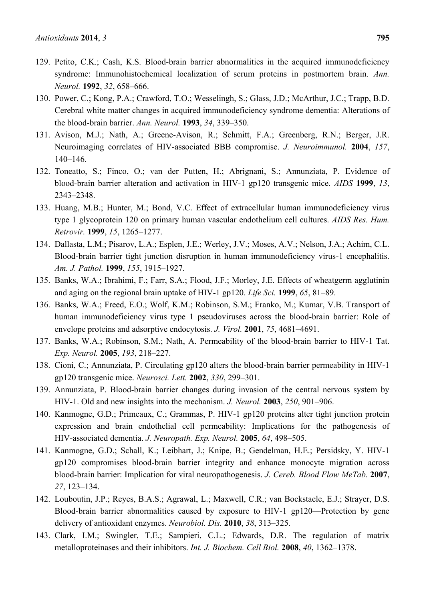- 129. Petito, C.K.; Cash, K.S. Blood-brain barrier abnormalities in the acquired immunodeficiency syndrome: Immunohistochemical localization of serum proteins in postmortem brain. *Ann. Neurol.* **1992**, *32*, 658–666.
- 130. Power, C.; Kong, P.A.; Crawford, T.O.; Wesselingh, S.; Glass, J.D.; McArthur, J.C.; Trapp, B.D. Cerebral white matter changes in acquired immunodeficiency syndrome dementia: Alterations of the blood-brain barrier. *Ann. Neurol.* **1993**, *34*, 339–350.
- 131. Avison, M.J.; Nath, A.; Greene-Avison, R.; Schmitt, F.A.; Greenberg, R.N.; Berger, J.R. Neuroimaging correlates of HIV-associated BBB compromise. *J. Neuroimmunol.* **2004**, *157*, 140–146.
- 132. Toneatto, S.; Finco, O.; van der Putten, H.; Abrignani, S.; Annunziata, P. Evidence of blood-brain barrier alteration and activation in HIV-1 gp120 transgenic mice. *AIDS* **1999**, *13*, 2343–2348.
- 133. Huang, M.B.; Hunter, M.; Bond, V.C. Effect of extracellular human immunodeficiency virus type 1 glycoprotein 120 on primary human vascular endothelium cell cultures. *AIDS Res. Hum. Retrovir.* **1999**, *15*, 1265–1277.
- 134. Dallasta, L.M.; Pisarov, L.A.; Esplen, J.E.; Werley, J.V.; Moses, A.V.; Nelson, J.A.; Achim, C.L. Blood-brain barrier tight junction disruption in human immunodeficiency virus-1 encephalitis. *Am. J. Pathol.* **1999**, *155*, 1915–1927.
- 135. Banks, W.A.; Ibrahimi, F.; Farr, S.A.; Flood, J.F.; Morley, J.E. Effects of wheatgerm agglutinin and aging on the regional brain uptake of HIV-1 gp120. *Life Sci.* **1999**, *65*, 81–89.
- 136. Banks, W.A.; Freed, E.O.; Wolf, K.M.; Robinson, S.M.; Franko, M.; Kumar, V.B. Transport of human immunodeficiency virus type 1 pseudoviruses across the blood-brain barrier: Role of envelope proteins and adsorptive endocytosis. *J. Virol.* **2001**, *75*, 4681–4691.
- 137. Banks, W.A.; Robinson, S.M.; Nath, A. Permeability of the blood-brain barrier to HIV-1 Tat. *Exp. Neurol.* **2005**, *193*, 218–227.
- 138. Cioni, C.; Annunziata, P. Circulating gp120 alters the blood-brain barrier permeability in HIV-1 gp120 transgenic mice. *Neurosci. Lett.* **2002**, *330*, 299–301.
- 139. Annunziata, P. Blood-brain barrier changes during invasion of the central nervous system by HIV-1. Old and new insights into the mechanism. *J. Neurol.* **2003**, *250*, 901–906.
- 140. Kanmogne, G.D.; Primeaux, C.; Grammas, P. HIV-1 gp120 proteins alter tight junction protein expression and brain endothelial cell permeability: Implications for the pathogenesis of HIV-associated dementia. *J. Neuropath. Exp. Neurol.* **2005**, *64*, 498–505.
- 141. Kanmogne, G.D.; Schall, K.; Leibhart, J.; Knipe, B.; Gendelman, H.E.; Persidsky, Y. HIV-1 gp120 compromises blood-brain barrier integrity and enhance monocyte migration across blood-brain barrier: Implication for viral neuropathogenesis. *J. Cereb. Blood Flow MeTab.* **2007**, *27*, 123–134.
- 142. Louboutin, J.P.; Reyes, B.A.S.; Agrawal, L.; Maxwell, C.R.; van Bockstaele, E.J.; Strayer, D.S. Blood-brain barrier abnormalities caused by exposure to HIV-1 gp120—Protection by gene delivery of antioxidant enzymes. *Neurobiol. Dis.* **2010**, *38*, 313–325.
- 143. Clark, I.M.; Swingler, T.E.; Sampieri, C.L.; Edwards, D.R. The regulation of matrix metalloproteinases and their inhibitors. *Int. J. Biochem. Cell Biol.* **2008**, *40*, 1362–1378.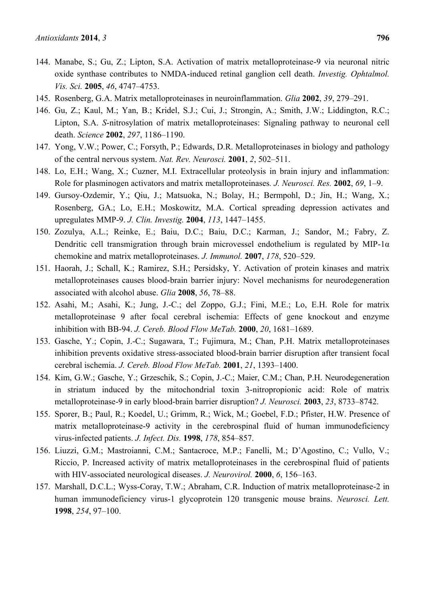- 144. Manabe, S.; Gu, Z.; Lipton, S.A. Activation of matrix metalloproteinase-9 via neuronal nitric oxide synthase contributes to NMDA-induced retinal ganglion cell death. *Investig. Ophtalmol. Vis. Sci.* **2005**, *46*, 4747–4753.
- 145. Rosenberg, G.A. Matrix metalloproteinases in neuroinflammation. *Glia* **2002**, *39*, 279–291.
- 146. Gu, Z.; Kaul, M.; Yan, B.; Kridel, S.J.; Cui, J.; Strongin, A.; Smith, J.W.; Liddington, R.C.; Lipton, S.A. *S*-nitrosylation of matrix metalloproteinases: Signaling pathway to neuronal cell death. *Science* **2002**, *297*, 1186–1190.
- 147. Yong, V.W.; Power, C.; Forsyth, P.; Edwards, D.R. Metalloproteinases in biology and pathology of the central nervous system. *Nat. Rev. Neurosci.* **2001**, *2*, 502–511.
- 148. Lo, E.H.; Wang, X.; Cuzner, M.I. Extracellular proteolysis in brain injury and inflammation: Role for plasminogen activators and matrix metalloproteinases*. J. Neurosci. Res.* **2002**, *69*, 1–9.
- 149. Gursoy-Ozdemir, Y.; Qiu, J.; Matsuoka, N.; Bolay, H.; Bermpohl, D.; Jin, H.; Wang, X.; Rosenberg, GA.; Lo, E.H.; Moskowitz, M.A. Cortical spreading depression activates and upregulates MMP-9. *J. Clin. Investig.* **2004**, *113*, 1447–1455.
- 150. Zozulya, A.L.; Reinke, E.; Baiu, D.C.; Baiu, D.C.; Karman, J.; Sandor, M.; Fabry, Z. Dendritic cell transmigration through brain microvessel endothelium is regulated by MIP-1α chemokine and matrix metalloproteinases. *J. Immunol.* **2007**, *178*, 520–529.
- 151. Haorah, J.; Schall, K.; Ramirez, S.H.; Persidsky, Y. Activation of protein kinases and matrix metalloproteinases causes blood-brain barrier injury: Novel mechanisms for neurodegeneration associated with alcohol abuse. *Glia* **2008**, *56*, 78–88.
- 152. Asahi, M.; Asahi, K.; Jung, J.-C.; del Zoppo, G.J.; Fini, M.E.; Lo, E.H. Role for matrix metalloproteinase 9 after focal cerebral ischemia: Effects of gene knockout and enzyme inhibition with BB-94. *J. Cereb. Blood Flow MeTab.* **2000**, *20*, 1681–1689.
- 153. Gasche, Y.; Copin, J.-C.; Sugawara, T.; Fujimura, M.; Chan, P.H. Matrix metalloproteinases inhibition prevents oxidative stress-associated blood-brain barrier disruption after transient focal cerebral ischemia. *J. Cereb. Blood Flow MeTab.* **2001**, *21*, 1393–1400.
- 154. Kim, G.W.; Gasche, Y.; Grzeschik, S.; Copin, J.-C.; Maier, C.M.; Chan, P.H. Neurodegeneration in striatum induced by the mitochondrial toxin 3-nitropropionic acid: Role of matrix metalloproteinase-9 in early blood-brain barrier disruption? *J. Neurosci.* **2003**, *23*, 8733–8742.
- 155. Sporer, B.; Paul, R.; Koedel, U.; Grimm, R.; Wick, M.; Goebel, F.D.; Pfister, H.W. Presence of matrix metalloproteinase-9 activity in the cerebrospinal fluid of human immunodeficiency virus-infected patients. *J. Infect. Dis.* **1998**, *178*, 854–857.
- 156. Liuzzi, G.M.; Mastroianni, C.M.; Santacroce, M.P.; Fanelli, M.; D'Agostino, C.; Vullo, V.; Riccio, P. Increased activity of matrix metalloproteinases in the cerebrospinal fluid of patients with HIV-associated neurological diseases. *J. Neurovirol.* **2000**, *6*, 156–163.
- 157. Marshall, D.C.L.; Wyss-Coray, T.W.; Abraham, C.R. Induction of matrix metalloproteinase-2 in human immunodeficiency virus-1 glycoprotein 120 transgenic mouse brains. *Neurosci. Lett.* **1998**, *254*, 97–100.